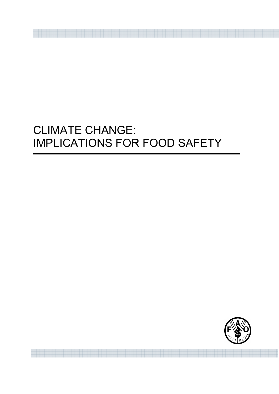# CLIMATE CHANGE: IMPLICATIONS FOR FOOD SAFETY

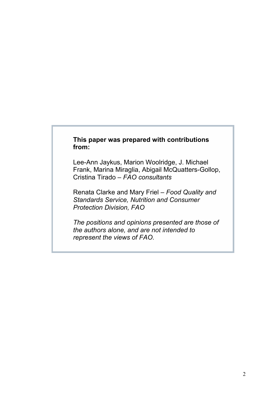# **This paper was prepared with contributions from:**

Lee-Ann Jaykus, Marion Woolridge, J. Michael Frank, Marina Miraglia, Abigail McQuatters-Gollop, Cristina Tirado – *FAO consultants*

Renata Clarke and Mary Friel – *Food Quality and Standards Service, Nutrition and Consumer Protection Division, FAO*

*The positions and opinions presented are those of the authors alone, and are not intended to represent the views of FAO.*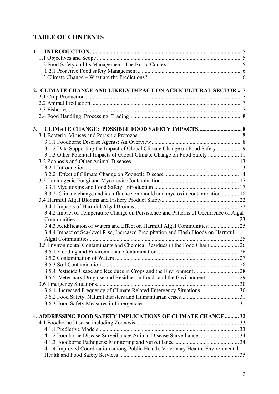# **TABLE OF CONTENTS**

| 1.                                                                                    |  |
|---------------------------------------------------------------------------------------|--|
|                                                                                       |  |
|                                                                                       |  |
|                                                                                       |  |
|                                                                                       |  |
|                                                                                       |  |
| 2. CLIMATE CHANGE AND LIKELY IMPACT ON AGRICULTURAL SECTOR  7                         |  |
|                                                                                       |  |
|                                                                                       |  |
|                                                                                       |  |
|                                                                                       |  |
|                                                                                       |  |
| <b>CLIMATE CHANGE: POSSIBLE FOOD SAFETY IMPACTS 8</b><br>3.                           |  |
|                                                                                       |  |
|                                                                                       |  |
| 3.1.2 Data Supporting the Impact of Global Climate Change on Food Safety  9           |  |
| 3.1.3 Other Potential Impacts of Global Climate Change on Food Safety  11             |  |
|                                                                                       |  |
|                                                                                       |  |
|                                                                                       |  |
|                                                                                       |  |
|                                                                                       |  |
| 3.3.2 Climate change and its influence on mould and myctoxin contamination  18        |  |
|                                                                                       |  |
|                                                                                       |  |
| 3.4.2 Impact of Temperature Change on Persistence and Patterns of Occurrence of Algal |  |
|                                                                                       |  |
| 3.4.3 Acidification of Waters and Effect on Harmful Algal Communities 25              |  |
| 3.4.4 Impact of Sea-level Rise, Increased Precipitation and Flash Floods on Harmful   |  |
|                                                                                       |  |
| 3.5 Environmental Contaminants and Chemical Residues in the Food Chain 26             |  |
|                                                                                       |  |
|                                                                                       |  |
|                                                                                       |  |
|                                                                                       |  |
|                                                                                       |  |
|                                                                                       |  |
| 3.6.1. Increased Frequency of Climate Related Emergency Situations  30                |  |
|                                                                                       |  |
|                                                                                       |  |
|                                                                                       |  |
| <b>4. ADDRESSING FOOD SAFETY IMPLICATIONS OF CLIMATE CHANGE 32</b>                    |  |
|                                                                                       |  |
|                                                                                       |  |
| 4.1.2 Foodborne Disease Surveillance/ Animal Disease Surveillance 34                  |  |
|                                                                                       |  |
| 4.1.4 Improved Coordination among Public Health, Veterinary Health, Environmental     |  |
|                                                                                       |  |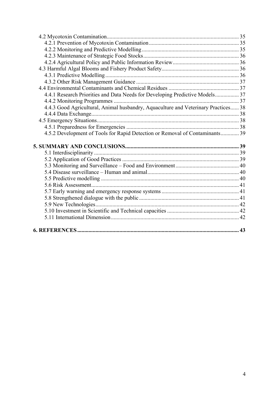| 4.4.1 Research Priorities and Data Needs for Developing Predictive Models 37       |  |
|------------------------------------------------------------------------------------|--|
|                                                                                    |  |
| 4.4.3 Good Agricultural, Animal husbandry, Aquaculture and Veterinary Practices 38 |  |
|                                                                                    |  |
|                                                                                    |  |
|                                                                                    |  |
| 4.5.2 Development of Tools for Rapid Detection or Removal of Contaminants 39       |  |
|                                                                                    |  |
|                                                                                    |  |
|                                                                                    |  |
|                                                                                    |  |
|                                                                                    |  |
|                                                                                    |  |
|                                                                                    |  |
|                                                                                    |  |
|                                                                                    |  |
|                                                                                    |  |
|                                                                                    |  |
|                                                                                    |  |
|                                                                                    |  |
|                                                                                    |  |
|                                                                                    |  |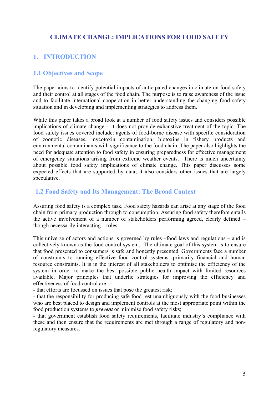# **CLIMATE CHANGE: IMPLICATIONS FOR FOOD SAFETY**

# **1. INTRODUCTION**

## **1.1 Objectives and Scope**

The paper aims to identify potential impacts of anticipated changes in climate on food safety and their control at all stages of the food chain. The purpose is to raise awareness of the issue and to facilitate international cooperation in better understanding the changing food safety situation and in developing and implementing strategies to address them.

While this paper takes a broad look at a number of food safety issues and considers possible implications of climate change – it does not provide exhaustive treatment of the topic. The food safety issues covered include: agents of food-borne disease with specific consideration of zoonotic diseases, mycotoxin contamination, biotoxins in fishery products and environmental contaminants with significance to the food chain. The paper also highlights the need for adequate attention to food safety in ensuring preparedness for effective management of emergency situations arising from extreme weather events. There is much uncertainty about possible food safety implications of climate change. This paper discusses some expected effects that are supported by data; it also considers other issues that are largely speculative.

## **1.2 Food Safety and Its Management: The Broad Context**

Assuring food safety is a complex task. Food safety hazards can arise at any stage of the food chain from primary production through to consumption. Assuring food safety therefore entails the active involvement of a number of stakeholders performing agreed, clearly defined – though necessarily interacting – roles.

This universe of actors and actions is governed by rules –food laws and regulations – and is collectively known as the food control system. The ultimate goal of this system is to ensure that food presented to consumers is safe and honestly presented. Governments face a number of constraints to running effective food control systems: primarily financial and human resource constraints. It is in the interest of all stakeholders to optimise the efficiency of the system in order to make the best possible public health impact with limited resources available. Major principles that underlie strategies for improving the efficiency and effectiveness of food control are:

- that efforts are focussed on issues that pose the greatest risk;

- that the responsibility for producing safe food rest unambiguously with the food businesses who are best placed to design and implement controls at the most appropriate point within the food production systems to *prevent* or minimise food safety risks;

- that government establish food safety requirements, facilitate industry's compliance with these and then ensure that the requirements are met through a range of regulatory and nonregulatory measures.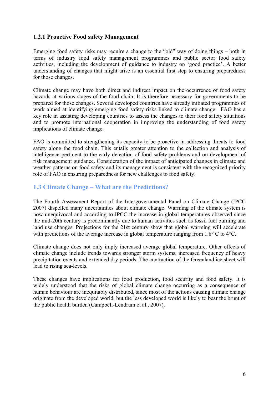## **1.2.1 Proactive Food safety Management**

Emerging food safety risks may require a change to the "old" way of doing things – both in terms of industry food safety management programmes and public sector food safety activities, including the development of guidance to industry on 'good practice'. A better understanding of changes that might arise is an essential first step to ensuring preparedness for those changes.

Climate change may have both direct and indirect impact on the occurrence of food safety hazards at various stages of the food chain. It is therefore necessary for governments to be prepared for those changes. Several developed countries have already initiated programmes of work aimed at identifying emerging food safety risks linked to climate change. FAO has a key role in assisting developing countries to assess the changes to their food safety situations and to promote international cooperation in improving the understanding of food safety implications of climate change.

FAO is committed to strengthening its capacity to be proactive in addressing threats to food safety along the food chain. This entails greater attention to the collection and analysis of intelligence pertinent to the early detection of food safety problems and on development of risk management guidance. Consideration of the impact of anticipated changes in climate and weather patterns on food safety and its management is consistent with the recognized priority role of FAO in ensuring preparedness for new challenges to food safety.

# **1.3 Climate Change – What are the Predictions?**

The Fourth Assessment Report of the Intergovernmental Panel on Climate Change (IPCC 2007) dispelled many uncertainties about climate change. Warming of the climate system is now unequivocal and according to IPCC the increase in global temperatures observed since the mid-20th century is predominantly due to human activities such as fossil fuel burning and land use changes. Projections for the 21st century show that global warming will accelerate with predictions of the average increase in global temperature ranging from 1.8° C to 4°C.

Climate change does not only imply increased average global temperature. Other effects of climate change include trends towards stronger storm systems, increased frequency of heavy precipitation events and extended dry periods. The contraction of the Greenland ice sheet will lead to rising sea-levels.

These changes have implications for food production, food security and food safety. It is widely understood that the risks of global climate change occurring as a consequence of human behaviour are inequitably distributed, since most of the actions causing climate change originate from the developed world, but the less developed world is likely to bear the brunt of the public health burden (Campbell-Lendrum et al., 2007).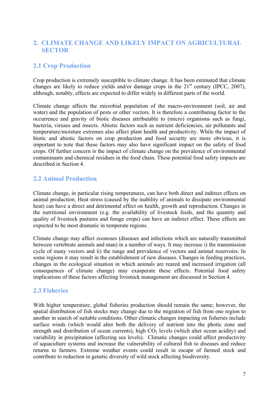# **2. CLIMATE CHANGE AND LIKELY IMPACT ON AGRICULTURAL SECTOR**

# **2.1 Crop Production**

Crop production is extremely susceptible to climate change. It has been estimated that climate changes are likely to reduce yields and/or damage crops in the  $21<sup>st</sup>$  century (IPCC, 2007), although, notably, effects are expected to differ widely in different parts of the world.

Climate change affects the microbial population of the macro-environment (soil, air and water) and the population of pests or other vectors. It is therefore a contributing factor to the occurrence and gravity of biotic diseases attributable to (micro) organisms such as fungi, bacteria, viruses and insects. Abiotic factors such as nutrient deficiencies, air pollutants and temperature/moisture extremes also affect plant health and productivity. While the impact of biotic and abiotic factors on crop production and food security are more obvious, it is important to note that these factors may also have significant impact on the safety of food crops. Of further concern is the impact of climate change on the prevalence of environmental contaminants and chemical residues in the food chain. These potential food safety impacts are described in Section 4.

# **2.2 Animal Production**

Climate change, in particular rising temperatures, can have both direct and indirect effects on animal production. Heat stress (caused by the inability of animals to dissipate environmental heat) can have a direct and detrimental effect on health, growth and reproduction. Changes in the nutritional environment (e.g. the availability of livestock feeds, and the quantity and quality of livestock pastures and forage crops) can have an indirect effect. These effects are expected to be most dramatic in temperate regions.

Climate change may affect zoonoses (diseases and infections which are naturally transmitted between vertebrate animals and man) in a number of ways. It may increase i) the transmission cycle of many vectors and ii) the range and prevalence of vectors and animal reservoirs. In some regions it may result in the establishment of new diseases. Changes in feeding practices, changes in the ecological situation in which animals are reared and increased irrigation (all consequences of climate change) may exasperate these effects. Potential food safety implications of these factors affecting livestock management are discussed in Section 4.

# **2.3 Fisheries**

With higher temperature, global fisheries production should remain the same; however, the spatial distribution of fish stocks may change due to the migration of fish from one region to another in search of suitable conditions. Other climatic changes impacting on fisheries include surface winds (which would alter both the delivery of nutrient into the photic zone and strength and distribution of ocean currents), high  $CO<sub>2</sub>$  levels (which alter ocean acidity) and variability in precipitation (affecting sea levels). Climatic changes could affect productivity of aquaculture systems and increase the vulnerability of cultured fish to diseases and reduce returns to farmers. Extreme weather events could result in escape of farmed stock and contribute to reduction in genetic diversity of wild stock affecting biodiversity.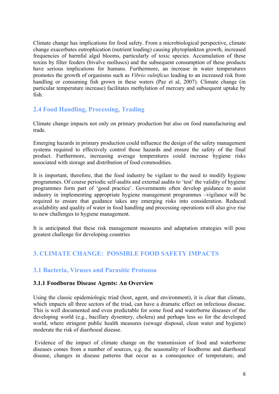Climate change has implications for food safety. From a microbiological perspective, climate change exacerbates eutrophication (nutrient loading) causing phytoplankton growth, increased frequencies of harmful algal blooms, particularly of toxic species. Accumulation of these toxins by filter feeders (bivalve molluscs) and the subsequent consumption of these products have serious implications for humans. Furthermore, an increase in water temperatures promotes the growth of organisms such as *Vibrio vulnificus* leading to an increased risk from handling or consuming fish grown in these waters (Paz et al, 2007). Climate change (in particular temperature increase) facilitates methylation of mercury and subsequent uptake by fish.

# **2.4 Food Handling, Processing, Trading**

Climate change impacts not only on primary production but also on food manufacturing and trade.

Emerging hazards in primary production could influence the design of the safety management systems required to effectively control those hazards and ensure the safety of the final product. Furthermore, increasing average temperatures could increase hygiene risks associated with storage and distribution of food commodities.

It is important, therefore, that the food industry be vigilant to the need to modify hygiene programmes. Of course periodic self-audits and external audits to 'test' the validity of hygiene programmes form part of 'good practice'. Governments often develop guidance to assist industry in implementing appropriate hygiene management programmes –vigilance will be required to ensure that guidance takes any emerging risks into consideration. Reduced availability and quality of water in food handling and processing operations will also give rise to new challenges to hygiene management.

It is anticipated that these risk management measures and adaptation strategies will pose greatest challenge for developing countries

# **3. CLIMATE CHANGE: POSSIBLE FOOD SAFETY IMPACTS**

# **3.1 Bacteria, Viruses and Parasitic Protozoa**

#### **3.1.1 Foodborne Disease Agents: An Overview**

Using the classic epidemiologic triad (host, agent, and environment), it is clear that climate, which impacts all three sectors of the triad, can have a dramatic effect on infectious disease. This is well documented and even predictable for some food and waterborne diseases of the developing world (e.g., bacillary dysentery, cholera) and perhaps less so for the developed world, where stringent public health measures (sewage disposal, clean water and hygiene) moderate the risk of diarrhoeal disease.

Evidence of the impact of climate change on the transmission of food and waterborne diseases comes from a number of sources, e.g. the seasonality of foodborne and diarrhoeal disease, changes in disease patterns that occur as a consequence of temperature, and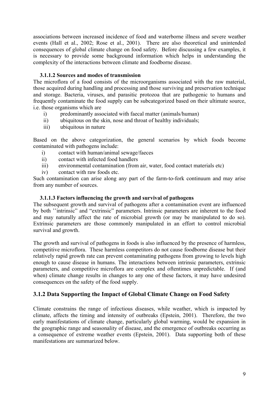associations between increased incidence of food and waterborne illness and severe weather events (Hall et al., 2002; Rose et al., 2001). There are also theoretical and unintended consequences of global climate change on food safety. Before discussing a few examples, it is necessary to provide some background information which helps in understanding the complexity of the interactions between climate and foodborne disease.

#### **3.1.1.2 Sources and modes of transmission**

The microflora of a food consists of the microorganisms associated with the raw material, those acquired during handling and processing and those surviving and preservation technique and storage. Bacteria, viruses, and parasitic protozoa that are pathogenic to humans and frequently contaminate the food supply can be subcategorized based on their ultimate source, i.e. those organisms which are

- i) predominantly associated with faecal matter (animals/human)
- ii) ubiquitous on the skin, nose and throat of healthy individuals;
- iii) ubiquitous in nature

Based on the above categorization, the general scenarios by which foods become contaminated with pathogens include:

- i) contact with human/animal sewage/faeces
- ii) contact with infected food handlers
- iii) environmental contamination (from air, water, food contact materials etc)
- iv) contact with raw foods etc.

Such contamination can arise along any part of the farm-to-fork continuum and may arise from any number of sources.

#### **3.1.1.3 Factors influencing the growth and survival of pathogens**

The subsequent growth and survival of pathogens after a contamination event are influenced by both ''intrinsic" and "extrinsic" parameters. Intrinsic parameters are inherent to the food and may naturally affect the rate of microbial growth (or may be manipulated to do so). Extrinsic parameters are those commonly manipulated in an effort to control microbial survival and growth.

The growth and survival of pathogens in foods is also influenced by the presence of harmless, competitive microflora. These harmless competitors do not cause foodborne disease but their relatively rapid growth rate can prevent contaminating pathogens from growing to levels high enough to cause disease in humans. The interactions between intrinsic parameters, extrinsic parameters, and competitive microflora are complex and oftentimes unpredictable. If (and when) climate change results in changes to any one of these factors, it may have undesired consequences on the safety of the food supply.

#### **3.1.2 Data Supporting the Impact of Global Climate Change on Food Safety**

Climate constrains the range of infectious diseases, while weather, which is impacted by climate, affects the timing and intensity of outbreaks (Epstein, 2001). Therefore, the two early manifestations of climate change, particularly global warming, would be expansion in the geographic range and seasonality of disease, and the emergence of outbreaks occurring as a consequence of extreme weather events (Epstein, 2001). Data supporting both of these manifestations are summarized below.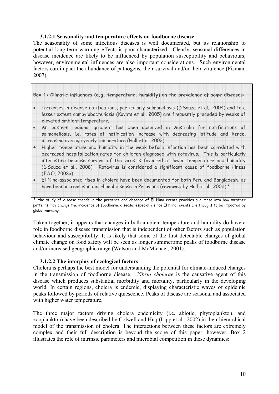#### **3.1.2.1 Seasonality and temperature effects on foodborne disease**

The seasonality of some infectious diseases is well documented, but its relationship to potential long-term warming effects is poor characterized. Clearly, seasonal differences in disease incidence are likely to be influenced by population susceptibility and behaviours; however, environmental influences are also important considerations. Such environmental factors can impact the abundance of pathogens, their survival and/or their virulence (Fisman, 2007).

|           | Box 1: Climatic influences (e.g. temperature, humidity) on the prevalence of some diseases:                                                                                                                                                       |
|-----------|---------------------------------------------------------------------------------------------------------------------------------------------------------------------------------------------------------------------------------------------------|
| $\bullet$ | Increases in disease notifications, particularly salmonellosis (D'Souza et al., 2004) and to a                                                                                                                                                    |
|           | lesser extent campylobacteriosis (Kovats et al., 2005) are frequently preceded by weeks of<br>elevated ambient temperature.                                                                                                                       |
|           | An eastern regional gradient has been observed in Australia for notifications of<br>salmonellosis, i.e. rates of notification increase with decreasing latitude and hence,                                                                        |
|           | increasing average yearly temperature (Hall et al. 2002).<br>Higher temperature and humidity in the week before infection has been correlated with<br>decreased hospitalization rates for children diagnosed with rotavirus. This is particularly |
|           | interesting because survival of the virus is favoured at lower temperature and humidity<br>(D'Souza et al., 2008). Rotavirus is considered a significant cause of foodborne illness                                                               |
|           | (FAO, 2008a).<br>El Nino-associated rises in cholera have been documented for both Peru and Bangladesh, as                                                                                                                                        |
|           | have been increases in diarrhoeal disease in Peruvians (reviewed by Hall et al., 2002) *.                                                                                                                                                         |

the study of disease trends in the presence and absence of El Nino events provides a glimpse into how weather patterns may change the incidence of foodborne disease, especially since El Nino events are thought to be impacted by global warming.

Taken together, it appears that changes in both ambient temperature and humidity do have a role in foodborne disease transmission that is independent of other factors such as population behaviour and susceptibility. It is likely that some of the first detectable changes of global climate change on food safety will be seen as longer summertime peaks of foodborne disease and/or increased geographic range (Watson and McMichael, 2001).

#### **3.1.2.2 The interplay of ecological factors**

Cholera is perhaps the best model for understanding the potential for climate-induced changes in the transmission of foodborne disease. *Vibrio cholerae* is the causative agent of this disease which produces substantial morbidity and mortality, particularly in the developing world. In certain regions, cholera is endemic, displaying characteristic waves of epidemic peaks followed by periods of relative quiescence. Peaks of disease are seasonal and associated with higher water temperature.

The three major factors driving cholera endemicity (i.e. abiotic, phytoplankton, and zooplankton) have been described by Colwell and Huq (Lipp et al., 2002) in their hierarchical model of the transmission of cholera. The interactions between these factors are extremely complex and their full description is beyond the scope of this paper; however, Box 2 illustrates the role of intrinsic parameters and microbial competition in these dynamics: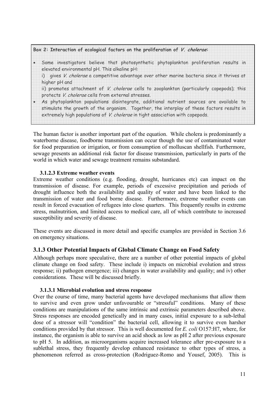| Box 2: Interaction of ecological factors on the proliferation of V. cholerae:                                                                                                                                                                                         |  |  |
|-----------------------------------------------------------------------------------------------------------------------------------------------------------------------------------------------------------------------------------------------------------------------|--|--|
| Some investigators believe that photosynthetic phytoplankton proliferation results in<br>elevated environmental pH. This alkaline pH:                                                                                                                                 |  |  |
| i) gives V. cholerae a competitive advantage over other marine bacteria since it thrives at<br>higher pH and                                                                                                                                                          |  |  |
| ii) promotes attachment of V. cholerae cells to zooplankton (particularly copepods); this<br>protects V. cholerae cells from external stresses.                                                                                                                       |  |  |
| As phytoplankton populations disintegrate, additional nutrient sources are available to<br>stimulate the growth of the organism. Together, the interplay of these factors results in<br>extremely high populations of V. cholerae in tight association with copepods. |  |  |

The human factor is another important part of the equation. While cholera is predominantly a waterborne disease, foodborne transmission can occur though the use of contaminated water for food preparation or irrigation, or from consumption of molluscan shellfish. Furthermore, sewage presents an additional risk factor for disease transmission, particularly in parts of the world in which water and sewage treatment remains substandard.

#### **3.1.2.3 Extreme weather events**

Extreme weather conditions (e.g. flooding, drought, hurricanes etc) can impact on the transmission of disease. For example, periods of excessive precipitation and periods of drought influence both the availability and quality of water and have been linked to the transmission of water and food borne disease. Furthermore, extreme weather events can result in forced evacuation of refugees into close quarters. This frequently results in extreme stress, malnutrition, and limited access to medical care, all of which contribute to increased susceptibility and severity of disease.

These events are discussed in more detail and specific examples are provided in Section 3.6 on emergency situations.

## **3.1.3 Other Potential Impacts of Global Climate Change on Food Safety**

Although perhaps more speculative, there are a number of other potential impacts of global climate change on food safety. These include i) impacts on microbial evolution and stress response; ii) pathogen emergence; iii) changes in water availability and quality; and iv) other considerations. These will be discussed briefly.

#### **3.1.3.1 Microbial evolution and stress response**

Over the course of time, many bacterial agents have developed mechanisms that allow them to survive and even grow under unfavourable or "stressful" conditions. Many of these conditions are manipulations of the same intrinsic and extrinsic parameters described above. Stress responses are encoded genetically and in many cases, initial exposure to a sub-lethal dose of a stressor will "condition" the bacterial cell, allowing it to survive even harsher conditions provided by that stressor. This is well documented for *E. coli* O157:H7, where, for instance, the organism is able to survive an acid shock as low as pH 2 after previous exposure to pH 5. In addition, as microorganisms acquire increased tolerance after pre-exposure to a sublethal stress, they frequently develop enhanced resistance to other types of stress, a phenomenon referred as cross-protection (Rodriguez-Romo and Yousef, 2005). This is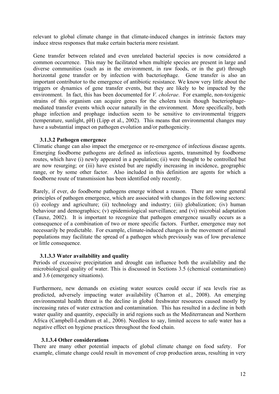relevant to global climate change in that climate-induced changes in intrinsic factors may induce stress responses that make certain bacteria more resistant.

Gene transfer between related and even unrelated bacterial species is now considered a common occurrence. This may be facilitated when multiple species are present in large and diverse communities (such as in the environment, in raw foods, or in the gut) through horizontal gene transfer or by infection with bacteriophage. Gene transfer is also an important contributor to the emergence of antibiotic resistance. We know very little about the triggers or dynamics of gene transfer events, but they are likely to be impacted by the environment. In fact, this has been documented for *V. cholerae*. For example, non-toxigenic strains of this organism can acquire genes for the cholera toxin though bacteriophagemediated transfer events which occur naturally in the environment. More specifically, both phage infection and prophage induction seem to be sensitive to environmental triggers (temperature, sunlight, pH) (Lipp et al., 2002). This means that environmental changes may have a substantial impact on pathogen evolution and/or pathogenicity.

#### **3.1.3.2 Pathogen emergence**

Climatic change can also impact the emergence or re-emergence of infectious disease agents. Emerging foodborne pathogens are defined as infectious agents, transmitted by foodborne routes, which have (i) newly appeared in a population; (ii) were thought to be controlled but are now resurging; or (iii) have existed but are rapidly increasing in incidence, geographic range, or by some other factor. Also included in this definition are agents for which a foodborne route of transmission has been identified only recently.

Rarely, if ever, do foodborne pathogens emerge without a reason. There are some general principles of pathogen emergence, which are associated with changes in the following sectors: (i) ecology and agriculture; (ii) technology and industry; (iii) globalization; (iv) human behaviour and demographics; (v) epidemiological surveillance; and (vi) microbial adaptation (Tauxe, 2002). It is important to recognize that pathogen emergence usually occurs as a consequence of a combination of two or more specific factors. Further, emergence may not necessarily be predictable. For example, climate-induced changes in the movement of animal populations may facilitate the spread of a pathogen which previously was of low prevalence or little consequence.

#### **3.1.3.3 Water availability and quality**

Periods of excessive precipitation and drought can influence both the availability and the microbiological quality of water. This is discussed in Sections 3.5 (chemical contamination) and 3.6 (emergency situations).

Furthermore, new demands on existing water sources could occur if sea levels rise as predicted, adversely impacting water availability (Charron et al., 2008). An emerging environmental health threat is the decline in global freshwater resources caused mostly by increasing rates of water extraction and contamination. This has resulted in a decline in both water quality and quantity, especially in arid regions such as the Mediterranean and Northern Africa (Campbell-Lendrum et al., 2006). Needless to say, limited access to safe water has a negative effect on hygiene practices throughout the food chain.

#### **3.1.3.4 Other considerations**

There are many other potential impacts of global climate change on food safety. For example, climate change could result in movement of crop production areas, resulting in very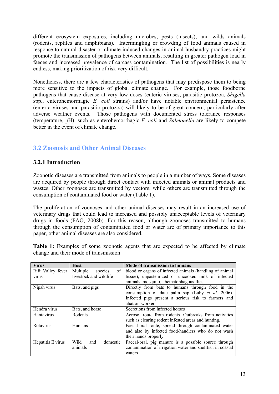different ecosystem exposures, including microbes, pests (insects), and wilds animals (rodents, reptiles and amphibians). Intermingling or crowding of food animals caused in response to natural disaster or climate induced changes in animal husbandry practices might promote the transmission of pathogens between animals, resulting in greater pathogen load in faeces and increased prevalence of carcass contamination. The list of possibilities is nearly endless, making prioritization of risk very difficult.

Nonetheless, there are a few characteristics of pathogens that may predispose them to being more sensitive to the impacts of global climate change. For example, those foodborne pathogens that cause disease at very low doses (enteric viruses, parasitic protozoa, *Shigella* spp., enterohemorrhagic *E. coli* strains) and/or have notable environmental persistence (enteric viruses and parasitic protozoa) will likely to be of great concern, particularly after adverse weather events. Those pathogens with documented stress tolerance responses (temperature, pH), such as enterohemorrhagic *E. coli* and *Salmonella* are likely to compete better in the event of climate change.

# **3.2 Zoonosis and Other Animal Diseases**

## **3.2.1 Introduction**

Zoonotic diseases are transmitted from animals to people in a number of ways. Some diseases are acquired by people through direct contact with infected animals or animal products and wastes. Other zoonoses are transmitted by vectors; while others are transmitted through the consumption of contaminated food or water (Table 1).

The proliferation of zoonoses and other animal diseases may result in an increased use of veterinary drugs that could lead to increased and possibly unacceptable levels of veterinary drugs in foods (FAO, 2008b). For this reason, although zoonoses transmitted to humans through the consumption of contaminated food or water are of primary importance to this paper, other animal diseases are also considered.

**Table 1:** Examples of some zoonotic agents that are expected to be affected by climate change and their mode of transmission

| <b>Virus</b>      | <b>Host</b>                                         | <b>Mode of transmission to humans</b>                      |  |
|-------------------|-----------------------------------------------------|------------------------------------------------------------|--|
| Rift Valley fever | Multiple<br>of<br>species                           | blood or organs of infected animals (handling of animal    |  |
| virus             | livestock and wildlife                              | tissue), unpasteurized or uncooked milk of infected        |  |
|                   |                                                     | animals, mosquito, , hematophagous flies                   |  |
| Nipah virus       | Bats, and pigs                                      | Directly from bats to humans through food in the           |  |
|                   |                                                     | consumption of date palm sap (Luby et al. 2006).           |  |
|                   |                                                     | Infected pigs present a serious risk to farmers and        |  |
|                   |                                                     | abattoir workers                                           |  |
| Hendra virus      | Bats, and horse                                     | Secretions from infected horses                            |  |
| <b>Hantavirus</b> | Rodents                                             | Aerosol route from rodents. Outbreaks from activities      |  |
|                   | such as clearing rodent infested areas and hunting. |                                                            |  |
| Rotavirus         | Humans                                              | Faecal-oral route, spread through contaminated water       |  |
|                   |                                                     | and also by infected food-handlers who do not wash         |  |
|                   |                                                     | their hands properly.                                      |  |
| Hepatitis E virus | Wild<br>domestic<br>and                             | Faecal-oral. pig manure is a possible source through       |  |
|                   | animals                                             | contamination of irrigation water and shellfish in coastal |  |
|                   |                                                     | waters                                                     |  |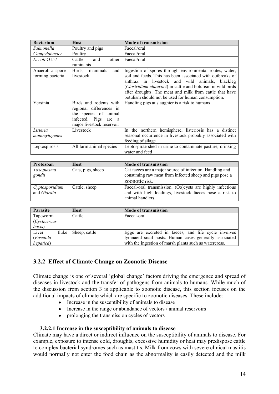| <b>Bacterium</b> | <b>Host</b>                | <b>Mode of transmission</b>                                                  |  |
|------------------|----------------------------|------------------------------------------------------------------------------|--|
| Salmonella       | Poultry and pigs           | Faecal/oral                                                                  |  |
| Campylobacter    | Poultry                    | Faecal/oral                                                                  |  |
| E. coli 0157     | Cattle<br>and<br>other     | Faecal/oral                                                                  |  |
|                  | ruminants                  |                                                                              |  |
| Anaerobic spore- | Birds,<br>mammals<br>and 1 | Ingestion of spores through environmental routes, water,                     |  |
| forming bacteria | livestock                  | soil and feeds. This has been associated with outbreaks of                   |  |
|                  |                            | anthrax in livestock and wild animals, blackleg                              |  |
|                  |                            | (Clostridium chauvoei) in cattle and botulism in wild birds                  |  |
|                  |                            | after droughts. The meat and milk from cattle that have                      |  |
|                  |                            | botulism should not be used for human consumption.                           |  |
| Yersinia         | Birds and rodents with     | Handling pigs at slaughter is a risk to humans                               |  |
|                  | regional differences in    |                                                                              |  |
|                  | the species of animal      |                                                                              |  |
|                  | infected. Pigs are a       |                                                                              |  |
|                  | major livestock reservoir  |                                                                              |  |
| Listeria         | Livestock                  | In the northern hemisphere, listeriosis has a distinct                       |  |
| monocytogenes    |                            | seasonal occurrence in livestock probably associated with                    |  |
|                  |                            | feeding of silage                                                            |  |
| Leptospirosis    | All farm animal species    | Leptospirae shed in urine to contaminate pasture, drinking<br>water and feed |  |

| Protozoan                     | <b>Host</b>       | <b>Mode of transmission</b>                                                                                                             |  |
|-------------------------------|-------------------|-----------------------------------------------------------------------------------------------------------------------------------------|--|
| Toxoplasma<br>gondii          | Cats, pigs, sheep | Cat faeces are a major source of infection. Handling and<br>consuming raw meat from infected sheep and pigs pose a<br>zoonotic risk.    |  |
| Cyptosporidium<br>and Giardia | Cattle, sheep     | Faecal-oral transmission. (Oo)cysts are highly infectious<br>and with high loadings, livestock faeces pose a risk to<br>animal handlers |  |

| <b>Parasite</b> | <b>Host</b>   | <b>Mode of transmission</b>                            |
|-----------------|---------------|--------------------------------------------------------|
| Tapeworm        | Cattle        | Faecal-oral                                            |
| (Cysticercus    |               |                                                        |
| bovis)          |               |                                                        |
| Liver<br>fluke  | Sheep, cattle | Eggs are excreted in faeces, and life cycle involves   |
| (Fasciola       |               | lymnaeid snail hosts. Human cases generally associated |
| hepatica)       |               | with the ingestion of marsh plants such as watercress. |

## **3.2.2 Effect of Climate Change on Zoonotic Disease**

Climate change is one of several 'global change' factors driving the emergence and spread of diseases in livestock and the transfer of pathogens from animals to humans. While much of the discussion from section 3 is applicable to zoonotic disease, this section focuses on the additional impacts of climate which are specific to zoonotic diseases. These include:

- Increase in the susceptibility of animals to disease
- Increase in the range or abundance of vectors / animal reservoirs
- prolonging the transmission cycles of vectors

#### **3.2.2.1 Increase in the susceptibility of animals to disease**

Climate may have a direct or indirect influence on the susceptibility of animals to disease. For example, exposure to intense cold, droughts, excessive humidity or heat may predispose cattle to complex bacterial syndromes such as mastitis. Milk from cows with severe clinical mastitis would normally not enter the food chain as the abnormality is easily detected and the milk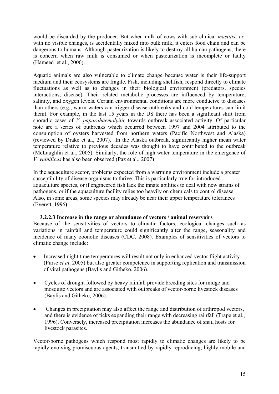would be discarded by the producer. But when milk of cows with sub-clinical *mastitis*, *i.e*. with no visible changes, is accidentally mixed into bulk milk, it enters food chain and can be dangerous to humans. Although pasteurization is likely to destroy all human pathogens, there is concern when raw milk is consumed or when pasteurization is incomplete or faulty (Hameed et al., 2006).

Aquatic animals are also vulnerable to climate change because water is their life-support medium and their ecosystems are fragile. Fish, including shellfish, respond directly to climate fluctuations as well as to changes in their biological environment (predators, species interactions, disease). Their related metabolic processes are influenced by temperature, salinity, and oxygen levels. Certain environmental conditions are more conducive to diseases than others (e.g., warm waters can trigger disease outbreaks and cold temperatures can limit them). For example, in the last 15 years in the US there has been a significant shift from sporadic cases of *V. paparahaemolyitic* towards outbreak associated activity. Of particular note are a series of outbreaks which occurred between 1997 and 2004 attributed to the consumption of oysters harvested from northern waters (Pacific Northwest and Alaska) (reviewed by Drake et al., 2007). In the Alaska outbreak, significantly higher mean water temperature relative to previous decades was thought to have contributed to the outbreak (McLaughlin et al., 2005). Similarly, the role of high water temperature in the emergence of *V. vulnificus* has also been observed (Paz et al., 2007)

In the aquaculture sector, problems expected from a warming environment include a greater susceptibility of disease organisms to thrive. This is particularly true for introduced aquaculture species, or if engineered fish lack the innate abilities to deal with new strains of pathogens, or if the aquaculture facility relies too heavily on chemicals to control disease. Also, in some areas, some species may already be near their upper temperature tolerances (Everett, 1996**)** 

#### **3.2.2.3 Increase in the range or abundance of vectors / animal reservoirs**  Because of the sensitivities of vectors to climatic factors, ecological changes such as variations in rainfall and temperature could significantly alter the range, seasonality and incidence of many zoonotic diseases (CDC, 2008). Examples of sensitivities of vectors to climatic change include:

- Increased night time temperatures will result not only in enhanced vector flight activity (Purse *et al*. 2005) but also greater competence in supporting replication and transmission of viral pathogens (Baylis and Githeko, 2006).
- Cycles of drought followed by heavy rainfall provide breeding sites for midge and mosquito vectors and are associated with outbreaks of vector-borne livestock diseases (Baylis and Githeko, 2006).
- Changes in precipitation may also affect the range and distribution of arthropod vectors, and there is evidence of ticks expanding their range with decreasing rainfall (Trape et al., 1996). Conversely, increased precipitation increases the abundance of snail hosts for livestock parasites.

Vector-borne pathogens which respond most rapidly to climatic changes are likely to be rapidly evolving promiscuous agents, transmitted by rapidly reproducing, highly mobile and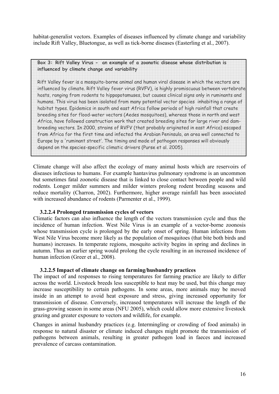habitat-generalist vectors. Examples of diseases influenced by climate change and variability include Rift Valley, Bluetongue, as well as tick-borne diseases (Easterling et al., 2007).

**Box 3: Rift Valley Virus - an example of a zoonotic disease whose distribution is influenced by climate change and variability**

Rift Valley fever is a mosquito-borne animal and human viral disease in which the vectors are influenced by climate. Rift Valley fever virus (RVFV), is highly promiscuous between vertebrate hosts, ranging from rodents to hippopotamuses, but causes clinical signs only in ruminants and humans. This virus has been isolated from many potential vector species inhabiting a range of habitat types. Epidemics in south and east Africa follow periods of high rainfall that create breeding sites for flood-water vectors (Aedes mosquitoes), whereas those in north and west Africa, have followed construction work that created breeding sites for large river and dambreeding vectors. In 2000, strains of RVFV (that probably originated in east Africa) escaped from Africa for the first time and infected the Arabian Peninsula, an area well connected to Europe by a 'ruminant street'. The timing and mode of pathogen responses will obviously depend on the species-specific climatic drivers (Purse et al. 2005).

Climate change will also affect the ecology of many animal hosts which are reservoirs of diseases infectious to humans. For example hantavirus pulmonary syndrome is an uncommon but sometimes fatal zoonotic disease that is linked to close contact between people and wild rodents. Longer milder summers and milder winters prolong rodent breeding seasons and reduce mortality (Charron, 2002). Furthermore, higher average rainfall has been associated with increased abundance of rodents (Parmenter et al., 1999).

#### **3.2.2.4 Prolonged transmission cycles of vectors**

Climatic factors can also influence the length of the vectors transmission cycle and thus the incidence of human infection. West Nile Virus is an example of a vector-borne zoonosis whose transmission cycle is prolonged by the early onset of spring. Human infections from West Nile Virus become more likely as the population of mosquitoes (that bite both birds and humans) increases. In temperate regions, mosquito activity begins in spring and declines in autumn. Thus an earlier spring would prolong the cycle resulting in an increased incidence of human infection (Greer et al., 2008).

#### **3.2.2.5 Impact of climate change on farming/husbandry practices**

The impact of and responses to rising temperatures for farming practice are likely to differ across the world. Livestock breeds less susceptible to heat may be used, but this change may increase susceptibility to certain pathogens. In some areas, more animals may be moved inside in an attempt to avoid heat exposure and stress, giving increased opportunity for transmission of disease. Conversely, increased temperatures will increase the length of the grass-growing season in some areas (NFU 2005), which could allow more extensive livestock grazing and greater exposure to vectors and wildlife, for example.

Changes in animal husbandry practices (e.g. Intermingling or crowding of food animals) in response to natural disaster or climate induced changes might promote the transmission of pathogens between animals, resulting in greater pathogen load in faeces and increased prevalence of carcass contamination.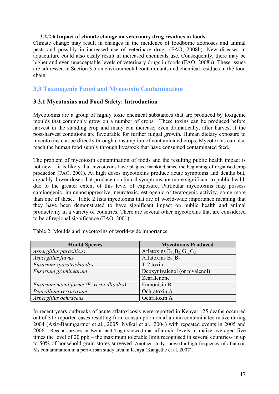#### **3.2.2.6 Impact of climate change on veterinary drug residues in foods**

Climate change may result in changes in the incidence of foodborne zoonoses and animal pests and possibly in increased use of veterinary drugs (FAO, 2008b). New diseases in aquaculture could also easily result in increased chemicals use. Consequently, there may be higher and even unacceptable levels of veterinary drugs in foods (FAO, 2008b). These issues are addressed in Section 3.5 on environmental contaminants and chemical residues in the food chain.

# **3.3 Toxinogenic Fungi and Mycotoxin Contamination**

## **3.3.1 Mycotoxins and Food Safety: Introduction**

Mycotoxins are a group of highly toxic chemical substances that are produced by toxigenic moulds that commonly grow on a number of crops. These toxins can be produced before harvest in the standing crop and many can increase, even dramatically, after harvest if the post-harvest conditions are favourable for further fungal growth. Human dietary exposure to mycotoxins can be directly through consumption of contaminated crops. Mycotoxins can also reach the human food supply through livestock that have consumed contaminated feed.

The problem of mycotoxin contamination of foods and the resulting public health impact is not new – it is likely that mycotoxins have plagued mankind since the beginning of organised crop production (FAO, 2001). At high doses mycotoxins produce acute symptoms and deaths but, arguably, lower doses that produce no clinical symptoms are more significant to public health due to the greater extent of this level of exposure. Particular mycotoxins may possess carcinogenic, immunosuppressive, neurotoxic, estrogenic or teratogenic activity, some more than one of these. Table 2 lists mycotoxins that are of world-wide importance meaning that they have been demonstrated to have significant impact on public health and animal productivity in a variety of countries. There are several other mycotoxins that are considered to be of regional significance (FAO, 2001).

| <b>Mould Species</b>                      | <b>Mycotoxins Produced</b>               |
|-------------------------------------------|------------------------------------------|
| Aspergillus parasiticus                   | Aflatoxins $B_1$ , $B_2$ , $G_1$ , $G_2$ |
| Aspergillus flavus                        | Aflatoxins $B_1$ , $B_2$                 |
| Fusarium sporotrichioides                 | T-2 toxin                                |
| Fusarium graminearum                      | Deoxynivalenol (or nivalenol)            |
|                                           | Zearalenone                              |
| Fusarium moniliforme (F. verticillioides) | Fumonisin $B_1$                          |
| Penicillium verrucosum                    | Ochratoxin A                             |
| Aspergillus ochraceus                     | Ochratoxin A                             |

Table 2: Moulds and mycotoxins of world-wide importance

In recent years outbreaks of acute aflatoxicosis were reported in Kenya: 125 deaths occurred out of 317 reported cases resulting from consumption on aflatoxin contaminated maize during 2004 (Aziz-Baumgartner et al., 2005; Nyikal et al., 2004) with repeated events in 2005 and 2006. Recent surveys in Benin and Togo showed that aflatoxin levels in maize averaged five times the level of 20 ppb – the maximum tolerable limit recognised in several countries- in up to 50% of household grain stores surveyed. Another study showed a high frequency of aflatoxin M1 contamination in a peri-urban study area in Kenya (Kangethe et al, 2007).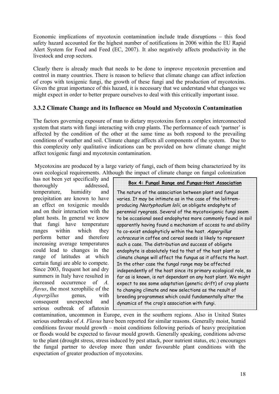Economic implications of mycotoxin contamination include trade disruptions – this food safety hazard accounted for the highest number of notifications in 2006 within the EU Rapid Alert System for Food and Feed (EC, 2007). It also negatively affects productivity in the livestock and crop sectors.

Clearly there is already much that needs to be done to improve mycotoxin prevention and control in many countries. There is reason to believe that climate change can affect infection of crops with toxigenic fungi, the growth of these fungi and the production of mycotoxins. Given the great importance of this hazard, it is necessary that we understand what changes we might expect in order to better prepare ourselves to deal with this critically important issue.

## **3.3.2 Climate Change and its Influence on Mould and Mycotoxin Contamination**

The factors governing exposure of man to dietary mycotoxins form a complex interconnected system that starts with fungi interacting with crop plants. The performance of each 'partner' is affected by the condition of the other at the same time as both respond to the prevailing conditions of weather and soil. Climate change affects all components of the system. Due to this complexity only qualitative indications can be provided on how climate change might affect toxigenic fungi and mycotoxin contamination.

 Mycotoxins are produced by a large variety of fungi, each of them being characterized by its own ecological requirements. Although the impact of climate change on fungal colonization

has not been yet specifically and thoroughly addressed, temperature, humidity and precipitation are known to have an effect on toxigenic moulds and on their interaction with the plant hosts. In general we know that fungi have temperature ranges within which they perform better and therefore increasing average temperatures could lead to changes in the range of latitudes at which certain fungi are able to compete. Since 2003, frequent hot and dry summers in Italy have resulted in increased occurrence of *A. flavus*, the most xerophilic of the *Aspergillus* genus, with consequent unexpected and serious outbreak of aflatoxin

| Box 4: Fungal Range and Fungus-Host Association                 |
|-----------------------------------------------------------------|
| The nature of the association between plant and fungus          |
| varies. It may be intimate as in the case of the lolitrem-      |
| producing Neotyphodium lolii, an obligate endophyte of          |
| perennial ryegrass. Several of the mycotoxigenic fungi seem     |
| to be occasional seed endophytes more commonly found in soil    |
| apparently having found a mechanism of access to and ability    |
| to co-exist endophyticly within the host. Aspergillus           |
| ochraceus in coffee and cereal seeds is likely to represent     |
| such a case. The distribution and success of obligate           |
| endophyte is absolutely tied to that of the host plant so       |
| climate change will affect the fungus as it affects the host.   |
| In the other case the fungal range may be affected              |
| independently of the host since its primary ecological role, so |
| far as is known, is not dependant on any host plant. We might   |
| expect to see some adaptation (genetic drift) of crop plants    |
| to changing climate and new selections as the result of         |
| breeding programmes which could fundamentally alter the         |
| dynamics of the crop's association with fungi.                  |

contamination, uncommon in Europe, even in the southern regions. Also in United States serious outbreaks of *A. Flavus* have been reported for similar reasons. Generally moist, humid conditions favour mould growth – moist conditions following periods of heavy precipitation or floods would be expected to favour mould growth. Generally speaking, conditions adverse to the plant (drought stress, stress induced by pest attack, poor nutrient status, etc.) encourages the fungal partner to develop more than under favourable plant conditions with the expectation of greater production of mycotoxins.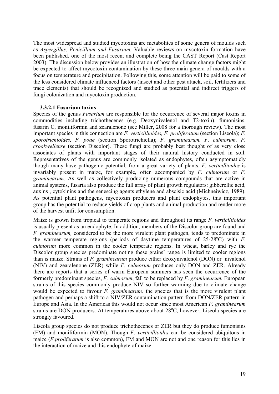The most widespread and studied mycotoxins are metabolites of some genera of moulds such as *Aspergillus, Penicillium and Fusarium.* Valuable reviews on mycotoxin formation have been published, one of the most recent and complete being the CAST Report (Cast Report 2003). The discussion below provides an illustration of how the climate change factors might be expected to affect mycotoxin contamination by these three main genera of moulds with a focus on temperature and precipitation. Following this, some attention will be paid to some of the less considered climate influenced factors (insect and other pest attack, soil, fertilizers and trace elements) that should be recognized and studied as potential and indirect triggers of fungi colonization and mycotoxin production.

#### **3.3.2.1 Fusarium toxins**

Species of the genus *Fusarium* are responsible for the occurrence of several major toxins in commodities including trichothecenes (e.g. Deoxynivalenol and T2-toxin), fumonisins, fusarin C, moniliformin and zearalenone (see Miller, 2008 for a thorough review). The most important species in this connection are *F. verticillioides, F. proliferatum* (section Liseola); *F. sporotrichioides, F. poae* (section Sporotrichiella); *F. graminearum, F. culmorum, F. crookwellense* (section Discolor). These fungi are probably best thought of as very close associates of plants with important stages of their natural history conducted in soil. Representatives of the genus are commonly isolated as endophytes, often asymptomaticly though many have pathogenic potential, from a great variety of plants. *F. verticillioides* is invariably present in maize, for example, often accompanied by *F. culmorum* or *F. graminearum*. As well as collectively producing numerous compounds that are active in animal systems, fusaria also produce the full array of plant growth regulators: gibberellic acid, auxins , cytokinins and the senescing agents ethylene and abscisic acid (Michneiwicz, 1989). As potential plant pathogens, mycotoxin producers and plant endophytes, this important group has the potential to reduce yields of crop plants and animal production and render more of the harvest unfit for consumption.

Maize is grown from tropical to temperate regions and throughout its range *F. verticillioides* is usually present as an endophyte. In addition, members of the Discolor group are found and *F. graminearum,* considered to be the more virulent plant pathogen, tends to predominate in the warmer temperate regions (periods of daytime temperatures of  $25-28$ °C) with *F*. *culmorum* more common in the cooler temperate regions. In wheat, barley and rye the Discolor group species predominate noting these grains' range is limited to cooler regions than is maize. Strains of *F. graminearum* produce either deoxynivalenol (DON) or nivalenol (NIV) and zearalenone (ZER) while *F. culmorum* produces only DON and ZER. Already there are reports that a series of warm European summers has seen the occurrence of the formerly predominant species, *F. culmorum*, fall to be replaced by *F. graminearum.* European strains of this species commonly produce NIV so further warming due to climate change would be expected to favour *F. graminearum,* the species that is the more virulent plant pathogen and perhaps a shift to a NIV/ZER contamination pattern from DON/ZER pattern in Europe and Asia. In the Americas this would not occur since most American *F. graminearum* strains are DON producers. At temperatures above about 28°C, however, Liseola species are strongly favoured.

Liseola group species do not produce trichothecenes or ZER but they do produce fumonisins (FM) and moniliformin (MON). Though *F. verticillioides* can be considered ubiquitous in maize (*F.proliferatum* is also common), FM and MON are not and one reason for this lies in the interaction of maize and this endophyte of maize.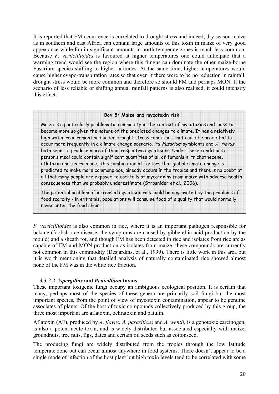It is reported that FM occurrence is correlated to drought stress and indeed, dry season maize as in southern and east Africa can contain large amounts of this toxin in maize of very good appearance while Fm in significant amounts in north temperate zones is much less common. Because *F. verticillioides* is favoured at higher temperatures one could anticipate that a warming trend would see the region where this fungus can dominate the other maize-borne Fusarium species shifting to higher latitudes. At the same time, higher temperatures would cause higher evapo-transpiration rates so that even if there were to be no reduction in rainfall, drought stress would be more common and therefore so should FM and perhaps MON. If the scenario of less reliable or shifting annual rainfall patterns is also realised, it could intensify this effect.

#### **Box 5: Maize and mycotoxin risk**

Maize is a particularly problematic commodity in the context of mycotoxins and looks to become more so given the nature of the predicted changes to climate. It has a relatively high water requirement and under drought stress conditions that could be predicted to occur more frequently in a climate change scenario, its Fusarium symbionts and A. flavus both seem to produce more of their respective mycotoxins. Under these conditions a person's meal could contain significant quantities of all of fumonisin, trichothecene, aflatoxin and zearalenone. This combination of factors that global climate change is predicted to make more commonplace, already occurs in the tropics and there is no doubt at all that many people are exposed to cocktails of mycotoxins from maize with adverse health consequences that we probably underestimate (Strosnider et al., 2006).

The potential problem of increased mycotoxin risk could be aggravated by the problems of food scarcity - in extremis, populations will consume food of a quality that would normally never enter the food chain.

*F. verticillioides* is also common in rice, where it is an important pathogen responsible for bakane (foolish rice disease, the symptoms are caused by gibberellic acid production by the mould) and a sheath rot, and though FM has been detected in rice and isolates from rice are as capable of FM and MON production as isolates from maize, these compounds are currently not common in this commodity (Desjardins, et al., 1999). There is little work in this area but it is worth mentioning that detailed analysis of naturally contaminated rice showed almost none of the FM was in the white rice fraction.

#### *3.3.2.2 Aspergillus* **and** *Penicillium* **toxins**

These important toxigenic fungi occupy an ambiguous ecological position. It is certain that many, perhaps most of the species of these genera are primarily soil fungi but the most important species, from the point of view of mycotoxin contamination, appear to be genuine associates of plants. Of the host of toxic compounds collectively produced by this group, the three most important are aflatoxin, ochratoxin and patulin.

Aflatoxin (AF), produced by *A. flavus, A. parasiticus* and *A. wentii*, is a genotoxic carcinogen, is also a potent acute toxin, and is widely distributed but associated especially with maize, groundnuts, tree nuts, figs, dates and certain oil seeds such as cottonseed.

The producing fungi are widely distributed from the tropics through the low latitude temperate zone but can occur almost anywhere in food systems. There doesn't appear to be a single mode of infection of the host plant but high toxin levels tend to be correlated with some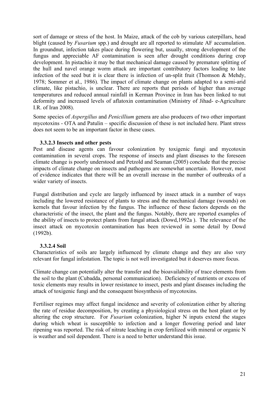sort of damage or stress of the host. In Maize, attack of the cob by various caterpillars, head blight (caused by *Fusarium* spp.) and drought are all reported to stimulate AF accumulation. In groundnut, infection takes place during flowering but, usually, strong development of the fungus and appreciable AF contamination is seen after drought conditions during crop development. In pistachio it may be that mechanical damage caused by premature splitting of the hull and navel orange worm attack are important contributory factors leading to late infection of the seed but it is clear there is infection of un-split fruit (Thomson  $\&$  Mehdy, 1978; Sommer et al., 1986). The impact of climate change on plants adapted to a semi-arid climate, like pistachio, is unclear. There are reports that periods of higher than average temperatures and reduced annual rainfall in Kerman Province in Iran has been linked to nut deformity and increased levels of aflatoxin contamination (Ministry of Jihad- e-Agriculture I.R. of Iran 2008).

Some species of *Aspergillus* and *Penicillium* genera are also producers of two other important mycotoxins - OTA and Patulin – specific discussion of these is not included here. Plant stress does not seem to be an important factor in these cases.

#### **3.3.2.3 Insects and other pests**

Pest and disease agents can favour colonization by toxigenic fungi and mycotoxin contamination in several crops. The response of insects and plant diseases to the foreseen climate change is poorly understood and Petzold and Seaman (2005) conclude that the precise impacts of climate change on insects and pathogens are somewhat uncertain. However, most of evidence indicates that there will be an overall increase in the number of outbreaks of a wider variety of insects.

Fungal distribution and cycle are largely influenced by insect attack in a number of ways including the lowered resistance of plants to stress and the mechanical damage (wounds) on kernels that favour infection by the fungus. The influence of these factors depends on the characteristic of the insect, the plant and the fungus. Notably, there are reported examples of the ability of insects to protect plants from fungal attack (Dowd,1992a ). The relevance of the insect attack on mycotoxin contamination has been reviewed in some detail by Dowd (1992b).

#### **3.3.2.4 Soil**

Characteristics of soils are largely influenced by climate change and they are also very relevant for fungal infestation. The topic is not well investigated but it deserves more focus.

Climate change can potentially alter the transfer and the bioavailability of trace elements from the soil to the plant (Cubadda, personal communication). Deficiency of nutrients or excess of toxic elements may results in lower resistance to insect, pests and plant diseases including the attack of toxigenic fungi and the consequent biosynthesis of mycotoxins.

Fertiliser regimes may affect fungal incidence and severity of colonization either by altering the rate of residue decomposition, by creating a physiological stress on the host plant or by altering the crop structure. For *Fusarium* colonization, higher N inputs extend the stages during which wheat is susceptible to infection and a longer flowering period and later ripening was reported. The risk of nitrate leaching in crop fertilized with mineral or organic N is weather and soil dependent. There is a need to better understand this issue.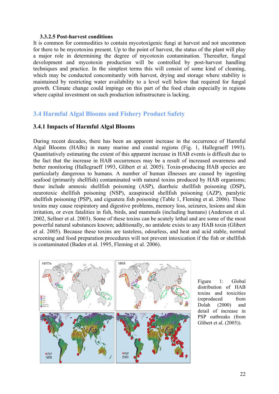#### **3.3.2.5 Post-harvest conditions**

It is common for commodities to contain mycotoxigenic fungi at harvest and not uncommon for there to be mycotoxins present. Up to the point of harvest, the status of the plant will play a major role in determining the degree of mycotoxin contamination. Thereafter, fungal development and mycotoxin production will be controlled by post-harvest handling techniques and practice. In the simplest terms this will consist of some kind of cleaning, which may be conducted concomitantly with harvest, drying and storage where stability is maintained by restricting water availability to a level well below that required for fungal growth. Climate change could impinge on this part of the food chain especially in regions where capital investment on such production infrastructure is lacking.

## **3.4 Harmful Algal Blooms and Fishery Product Safety**

#### **3.4.1 Impacts of Harmful Algal Blooms**

During recent decades, there has been an apparent increase in the occurrence of Harmful Algal Blooms (HABs) in many marine and coastal regions (Fig. 1, Hallegraeff 1993). Quantitatively estimating the extent of this apparent increase in HAB events is difficult due to the fact that the increase in HAB occurrences may be a result of increased awareness and better monitoring (Hallegraeff 1993, Glibert et al. 2005). Toxin-producing HAB species are particularly dangerous to humans. A number of human illnesses are caused by ingesting seafood (primarily shellfish) contaminated with natural toxins produced by HAB organisms; these include amnesic shellfish poisoning (ASP), diarrheic shellfish poisoning (DSP), neurotoxic shellfish poisoning (NSP), azaspiracid shellfish poisoning (AZP), paralytic shellfish poisoning (PSP), and ciguatera fish poisoning (Table 1, Fleming et al. 2006). These toxins may cause respiratory and digestive problems, memory loss, seizures, lesions and skin irritation, or even fatalities in fish, birds, and mammals (including humans) (Anderson et al. 2002, Sellner et al. 2003). Some of these toxins can be acutely lethal and are some of the most powerful natural substances known; additionally, no antidote exists to any HAB toxin (Glibert et al. 2005). Because these toxins are tasteless, odourless, and heat and acid stable, normal screening and food preparation procedures will not prevent intoxication if the fish or shellfish is contaminated (Baden et al. 1995, Fleming et al. 2006).



Figure 1: Global distribution of HAB toxins and toxicities (reproduced from Dolah (2000) and detail of increase in PSP outbreaks (from Glibert et al. (2005)).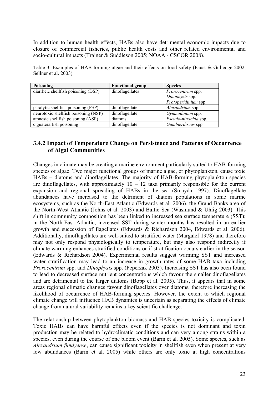In addition to human health effects, HABs also have detrimental economic impacts due to closure of commercial fisheries, public health costs and other related environmental and socio-cultural impacts (Trainer & Suddleson 2005; NOAA - CSCOR 2008).

Table 3: Examples of HAB-forming algae and their effects on food safety (Faust & Gulledge 2002, Sellner et al. 2003).

| Poisoning                            | <b>Functional group</b> | <b>Species</b>        |
|--------------------------------------|-------------------------|-----------------------|
| diarrheic shellfish poisoning (DSP)  | dinoflagellates         | Prorocentrum spp.     |
|                                      |                         | Dinophysis spp.       |
|                                      |                         | Protoperidinium spp.  |
| paralytic shellfish poisoning (PSP)  | dinoflagellate          | Alexandrium spp.      |
| neurotoxic shellfish poisoning (NSP) | dinoflagellate          | Gymnodinium spp.      |
| amnesic shellfish poisoning (ASP)    | diatoms                 | Pseudo-nitzschia spp. |
| ciguatera fish poisoning             | dinoflagellate          | Gambierdiscus spp.    |

## **3.4.2 Impact of Temperature Change on Persistence and Patterns of Occurrence of Algal Communities**

Changes in climate may be creating a marine environment particularly suited to HAB-forming species of algae. Two major functional groups of marine algae, or phytoplankton, cause toxic HABs – diatoms and dinoflagellates. The majority of HAB-forming phytoplankton species are dinoflagellates, with approximately  $10 - 12$  taxa primarily responsible for the current expansion and regional spreading of HABs in the sea (Smayda 1997). Dinoflagellate abundances have increased to the detriment of diatom populations in some marine ecosystems, such as the North-East Atlantic (Edwards et al. 2006), the Grand Banks area of the North-West Atlantic (Johns et al. 2003) and Baltic Sea (Wasmund & Uhlig 2003). This shift in community composition has been linked to increased sea surface temperature (SST); in the North-East Atlantic, increased SST during winter months has resulted in an earlier growth and succession of flagellates (Edwards & Richardson 2004, Edwards et al. 2006). Additionally, dinoflagellates are well-suited to stratified water (Margalef 1978) and therefore may not only respond physiologically to temperature, but may also respond indirectly if climate warming enhances stratified conditions or if stratification occurs earlier in the season (Edwards & Richardson 2004). Experimental results suggest warming SST and increased water stratification may lead to an increase in growth rates of some HAB taxa including *Prorocentrum* spp. and *Dinophysis* spp. (Peperzak 2003). Increasing SST has also been found to lead to decreased surface nutrient concentrations which favour the smaller dinoflagellates and are detrimental to the larger diatoms (Bopp et al. 2005). Thus, it appears that in some areas regional climatic changes favour dinoflagellates over diatoms, therefore increasing the likelihood of occurrence of HAB-forming species. However, the extent to which regional climate change will influence HAB dynamics is uncertain as separating the effects of climate change from natural variability remains a key scientific challenge.

The relationship between phytoplankton biomass and HAB species toxicity is complicated. Toxic HABs can have harmful effects even if the species is not dominant and toxin production may be related to hydroclimatic conditions and can very among strains within a species, even during the course of one bloom event (Barin et al. 2005). Some species, such as *Alexandrium fundyense*, can cause significant toxicity in shellfish even when present at very low abundances (Barin et al. 2005) while others are only toxic at high concentrations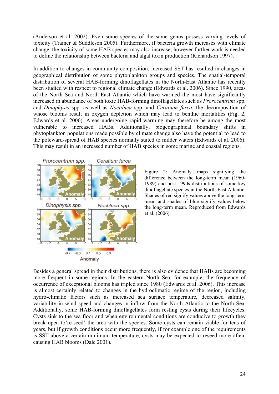(Anderson et al. 2002). Even some species of the same genus possess varying levels of toxicity (Trainer & Suddleson 2005). Furthermore, if bacteria growth increases with climate change, the toxicity of some HAB species may also increase; however further work is needed to define the relationship between bacteria and algal toxin production (Richardson 1997).

In addition to changes in community composition, increased SST has resulted in changes in geographical distribution of some phytoplankton groups and species. The spatial-temporal distribution of several HAB-forming dinoflagellates in the North-East Atlantic has recently been studied with respect to regional climate change (Edwards et al. 2006). Since 1990, areas of the North Sea and North-East Atlantic which have warmed the most have significantly increased in abundance of both toxic HAB-forming dinoflagellates such as *Prorocentrum* spp. and *Dinophysis* spp. as well as *Noctiluca* spp. and *Ceratium furca*, the decomposition of whose blooms result in oxygen depletion which may lead to benthic mortalities (Fig. 2, Edwards et al. 2006). Areas undergoing rapid warming may therefore be among the most vulnerable to increased HABs. Additionally, biogeographical boundary shifts in phytoplankton populations made possible by climate change also have the potential to lead to the poleward-spread of HAB species normally suited to milder waters (Edwards et al. 2006). This may result in an increased number of HAB species in some marine and coastal regions.



Figure 2: Anomaly maps signifying the difference between the long-term mean (1960- 1989) and post-1990s distributions of some key dinoflagellate species in the North-East Atlantic. Shades of red signify values above the long-term mean and shades of blue signify values below the long-term mean. Reproduced from Edwards et al. (2006).

Besides a general spread in their distributions, there is also evidence that HABs are becoming more frequent in some regions. In the eastern North Sea, for example, the frequency of occurrence of exceptional blooms has tripled since 1980 (Edwards et al. 2006). This increase is almost certainly related to changes in the hydroclimatic regime of the region, including hydro-climatic factors such as increased sea surface temperature, decreased salinity, variability in wind speed and changes in inflow from the North Atlantic to the North Sea. Additionally, some HAB-forming dinoflagellates form resting cysts during their lifecycles. Cysts sink to the sea floor and when environmental conditions are conducive to growth they break open to're-seed' the area with the species. Some cysts can remain viable for tens of years, but if growth conditions occur more frequently, if for example one of the requirements is SST above a certain minimum temperature, cysts may be expected to reseed more often, causing HAB blooms (Dale 2001).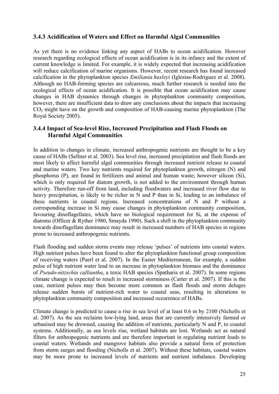## **3.4.3 Acidification of Waters and Effect on Harmful Algal Communities**

As yet there is no evidence linking any aspect of HABs to ocean acidification. However research regarding ecological effects of ocean acidification is in its infancy and the extent of current knowledge is limited. For example, it is widely expected that increasing acidification will reduce calcification of marine organisms. However, recent research has found increased calcification in the phytoplankton species *Emiliania huxleyi* (Iglesias-Rodriguez et al. 2008). Although no HAB-forming species are calcareous, much further research is needed into the ecological effects of ocean acidification. It is possible that ocean acidification may cause changes in HAB dynamics through changes in phytoplankton community composition, however, there are insufficient data to draw any conclusions about the impacts that increasing  $CO<sub>2</sub>$  might have on the growth and composition of HAB-causing marine phytoplankton (The Royal Society 2005).

## **3.4.4 Impact of Sea-level Rise, Increased Precipitation and Flash Floods on Harmful Algal Communities**

In addition to changes in climate, increased anthropogenic nutrients are thought to be a key cause of HABs (Sellner et al. 2003). Sea level rise, increased precipitation and flash floods are most likely to affect harmful algal communities through increased nutrient release to coastal and marine waters. Two key nutrients required for phytoplankton growth, nitrogen (N) and phosphorus (P), are found in fertilizers and animal and human waste; however silicon (Si), which is only required for diatom growth, is not added to the environment through human activity. Therefore run-off from land, including floodwaters and increased river flow due to heavy precipitation, is likely to be richer in N and P than in Si, leading to an imbalance of these nutrients in coastal regions. Increased concentrations of N and P without a corresponding increase in Si may cause changes in phytoplankton community composition, favouring dinoflagellates, which have no biological requirement for Si, at the expense of diatoms (Officer & Ryther 1980, Smayda 1990). Such a shift in the phytoplankton community towards dinoflagellate dominance may result in increased numbers of HAB species in regions prone to increased anthropogenic nutrients.

Flash flooding and sudden storm events may release 'pulses' of nutrients into coastal waters. High nutrient pulses have been found to alter the phytoplankton functional group composition of receiving waters (Paerl et al. 2007). In the Easter Mediterranean, for example, a sudden pulse of high nutrient water lead to an increase in phytoplankton biomass and the dominance of *Pseudo-nitzschia calliantha*, a toxic HAB species (Spatharis et al. 2007). In some regions climate change is expected to result in increased storminess (Carter et al. 2007). If this is the case, nutrient pulses may then become more common as flash floods and storm deluges release sudden bursts of nutrient-rich water to coastal seas, resulting in alterations to phytoplankton community composition and increased occurrence of HABs.

Climate change is predicted to cause a rise in sea level of at least 0.6 m by 2100 (Nicholls et al. 2007). As the sea reclaims low-lying land, areas that are currently intensively farmed or urbanised may be drowned, causing the addition of nutrients, particularly N and P, to coastal systems. Additionally, as sea levels rise, wetland habitats are lost. Wetlands act as natural filters for anthropogenic nutrients and are therefore important in regulating nutrient loads to coastal waters. Wetlands and mangrove habitats also provide a natural form of protection from storm surges and flooding (Nicholls et al. 2007). Without these habitats, coastal waters may be more prone to increased levels of nutrients and nutrient imbalance. Developing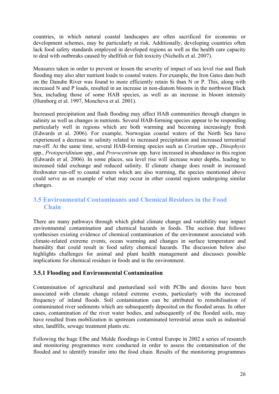countries, in which natural coastal landscapes are often sacrificed for economic or development schemes, may be particularly at risk. Additionally, developing countries often lack food safety standards employed in developed regions as well as the health care capacity to deal with outbreaks caused by shellfish or fish toxicity (Nicholls et al. 2007).

Measures taken in order to prevent or lessen the severity of impact of sea level rise and flash flooding may also alter nutrient loads to coastal waters. For example, the Iron Gates dam built on the Danube River was found to more efficiently retain Si than N or P. This, along with increased N and P loads, resulted in an increase in non-diatom blooms in the northwest Black Sea, including those of some HAB species, as well as an increase in bloom intensity (Humborg et al. 1997, Moncheva et al. 2001).

Increased precipitation and flash flooding may affect HAB communities through changes in salinity as well as changes in nutrients. Several HAB-forming species appear to be responding particularly well in regions which are both warming and becoming increasingly fresh (Edwards et al. 2006). For example, Norwegian coastal waters of the North Sea have experienced a decrease in salinity related to increased precipitation and increased terrestrial run-off. At the same time, several HAB-forming species such as *Ceratium* spp., *Dinophysis* spp., *Protoperidinium* spp., and *Prorocentrum* spp. have increased in abundance in this region (Edwards et al. 2006). In some places, sea level rise will increase water depths, leading to increased tidal exchange and reduced salinity. If climate change does result in increased freshwater run-off to coastal waters which are also warming, the species mentioned above could serve as an example of what may occur in other coastal regions undergoing similar changes.

# **3.5 Environmental Contaminants and Chemical Residues in the Food Chain**

There are many pathways through which global climate change and variability may impact environmental contamination and chemical hazards in foods. The section that follows synthesises existing evidence of chemical contamination of the environment associated with climate-related extreme events, ocean warming and changes in surface temperature and humidity that could result in food safety chemical hazards. The discussion below also highlights challenges for animal and plant health management and discusses possible implications for chemical residues in foods and in the environment.

## **3.5.1 Flooding and Environmental Contamination**

Contamination of agricultural and pastureland soil with PCBs and dioxins have been associated with climate change related extreme events, particularly with the increased frequency of inland floods. Soil contamination can be attributed to remobilisation of contaminated river sediments which are subsequently deposited on the flooded areas. In other cases, contamination of the river water bodies, and subsequently of the flooded soils, may have resulted from mobilization in upstream contaminated terrestrial areas such as industrial sites, landfills, sewage treatment plants etc.

Following the huge Elbe and Mulde floodings in Central Europe in 2002 a series of research and monitoring programmes were conducted in order to assess the contamination of the flooded and to identify transfer into the food chain. Results of the monitoring programmes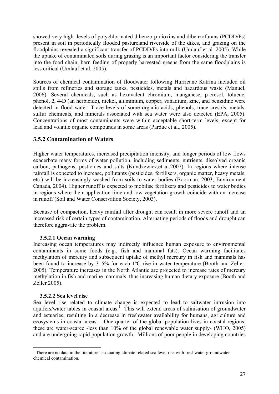showed very high levels of polychlorinated dibenzo-p-dioxins and dibenzofurans (PCDD/Fs) present in soil in periodically flooded pastureland riverside of the dikes, and grazing on the floodplains revealed a significant transfer of PCDD/Fs into milk (Umlauf et al. 2005). While the uptake of contaminated soils during grazing is an important factor considering the transfer into the food chain, barn feeding of properly harvested greens from the same floodplains is less critical (Umlauf et al. 2005).

Sources of chemical contamination of floodwater following Hurricane Katrina included oil spills from refineries and storage tanks, pesticides, metals and hazardous waste (Manuel, 2006). Several chemicals, such as hexavalent chromium, manganese, p-cresol, toluene, phenol, 2, 4-D (an herbicide), nickel, aluminium, copper, vanadium, zinc, and benzidine were detected in flood water. Trace levels of some organic acids, phenols, trace cresols, metals, sulfur chemicals, and minerals associated with sea water were also detected (EPA, 2005). Concentrations of most contaminants were within acceptable short-term levels, except for lead and volatile organic compounds in some areas (Pardue et al., 2005).

## **3.5.2 Contamination of Waters**

Higher water temperatures, increased precipitation intensity, and longer periods of low flows exacerbate many forms of water pollution, including sediments, nutrients, dissolved organic carbon, pathogens, pesticides and salts (Kundzewicz,et al,2007). In regions where intense rainfall is expected to increase, pollutants (pesticides, fertilisers, organic matter, heavy metals, etc.) will be increasingly washed from soils to water bodies (Boorman, 2003; Environment Canada, 2004). Higher runoff is expected to mobilise fertilisers and pesticides to water bodies in regions where their application time and low vegetation growth coincide with an increase in runoff (Soil and Water Conservation Society, 2003).

Because of compaction, heavy rainfall after drought can result in more severe runoff and an increased risk of certain types of contamination. Alternating periods of floods and drought can therefore aggravate the problem.

#### **3.5.2.1 Ocean warming**

Increasing ocean temperatures may indirectly influence human exposure to environmental contaminants in some foods (e.g., fish and mammal fats). Ocean warming facilitates methylation of mercury and subsequent uptake of methyl mercury in fish and mammals has been found to increase by 3–5% for each 1ºC rise in water temperature (Booth and Zeller. 2005). Temperature increases in the North Atlantic are projected to increase rates of mercury methylation in fish and marine mammals, thus increasing human dietary exposure (Booth and Zeller 2005).

#### **3.5.2.2 Sea level rise**

Sea level rise related to climate change is expected to lead to saltwater intrusion into aquifers/water tables in coastal areas.<sup>1</sup> This will extend areas of salinisation of groundwater and estuaries, resulting in a decrease in freshwater availability for humans, agriculture and ecosystems in coastal areas. One-quarter of the global population lives in coastal regions; these are water-scarce -less than 10% of the global renewable water supply- (WHO, 2005) and are undergoing rapid population growth. Millions of poor people in developing countries

<sup>&</sup>lt;u>.</u> <sup>1</sup> There are no data in the literature associating climate related sea level rise with freshwater groundwater chemical contamination.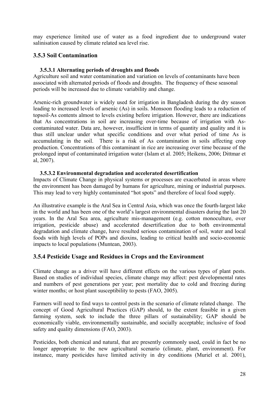may experience limited use of water as a food ingredient due to underground water salinisation caused by climate related sea level rise.

## **3.5.3 Soil Contamination**

#### **3.5.3.1 Alternating periods of droughts and floods**

Agriculture soil and water contamination and variation on levels of contaminants have been associated with alternated periods of floods and droughts. The frequency of these seasonal periods will be increased due to climate variability and change.

Arsenic-rich groundwater is widely used for irrigation in Bangladesh during the dry season leading to increased levels of arsenic (As) in soils. Monsoon flooding leads to a reduction of topsoil-As contents almost to levels existing before irrigation. However, there are indications that As concentrations in soil are increasing over-time because of irrigation with Ascontaminated water. Data are, however, insufficient in terms of quantity and quality and it is thus still unclear under what specific conditions and over what period of time As is accumulating in the soil. There is a risk of As contamination in soils affecting crop production. Concentrations of this contaminant in rice are increasing over time because of the prolonged input of contaminated irrigation water (Islam et al. 2005; Heikens, 2006; Dittmar et al, 2007).

#### **3.5.3.2 Environmental degradation and accelerated desertification**

Impacts of Climate Change in physical systems or processes are exacerbated in areas where the environment has been damaged by humans for agriculture, mining or industrial purposes. This may lead to very highly contaminated "hot spots" and therefore of local food supply.

An illustrative example is the Aral Sea in Central Asia, which was once the fourth-largest lake in the world and has been one of the world's largest environmental disasters during the last 20 years. In the Aral Sea area, agriculture mis-management (e.g. cotton monoculture, over irrigation, pesticide abuse) and accelerated desertification due to both environmental degradation and climate change, have resulted serious contamination of soil, water and local foods with high levels of POPs and dioxins, leading to critical health and socio-economic impacts to local populations (Muntean, 2003).

## **3.5.4 Pesticide Usage and Residues in Crops and the Environment**

Climate change as a driver will have different effects on the various types of plant pests. Based on studies of individual species, climate change may affect: pest developmental rates and numbers of pest generations per year; pest mortality due to cold and freezing during winter months; or host plant susceptibility to pests (FAO, 2005).

Farmers will need to find ways to control pests in the scenario of climate related change. The concept of Good Agricultural Practices (GAP) should, to the extent feasible in a given farming system, seek to include the three pillars of sustainability; GAP should be economically viable, environmentally sustainable, and socially acceptable; inclusive of food safety and quality dimensions (FAO, 2003).

Pesticides, both chemical and natural, that are presently commonly used, could in fact be no longer appropriate to the new agricultural scenario (climate, plant, environment). For instance, many pesticides have limited activity in dry conditions (Muriel et al. 2001),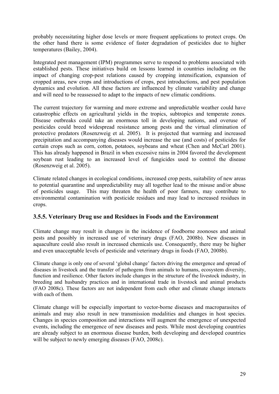probably necessitating higher dose levels or more frequent applications to protect crops. On the other hand there is some evidence of faster degradation of pesticides due to higher temperatures (Bailey, 2004).

Integrated pest management (IPM) programmes serve to respond to problems associated with established pests. These initiatives build on lessons learned in countries including on the impact of changing crop-pest relations caused by cropping intensification, expansion of cropped areas, new crops and introductions of crops, pest introductions, and pest population dynamics and evolution. All these factors are influenced by climate variability and change and will need to be reassessed to adapt to the impacts of new climatic conditions.

The current trajectory for warming and more extreme and unpredictable weather could have catastrophic effects on agricultural yields in the tropics, subtropics and temperate zones. Disease outbreaks could take an enormous toll in developing nations, and overuse of pesticides could breed widespread resistance among pests and the virtual elimination of protective predators (Rosenzweig et al. 2005). It is projected that warming and increased precipitation and accompanying diseases would increase the use (and costs) of pesticides for certain crops such as corn, cotton, potatoes, soybeans and wheat (Chen and McCarl 2001). This has already happened in Brazil in when excessive rains in 2004 favored the development soybean rust leading to an increased level of fungicides used to control the disease (Rosenzweig et al. 2005).

Climate related changes in ecological conditions, increased crop pests, suitability of new areas to potential quarantine and unpredictability may all together lead to the misuse and/or abuse of pesticides usage. This may threaten the health of poor farmers, may contribute to environmental contamination with pesticide residues and may lead to increased residues in crops.

## **3.5.5. Veterinary Drug use and Residues in Foods and the Environment**

Climate change may result in changes in the incidence of foodborne zoonoses and animal pests and possibly in increased use of veterinary drugs (FAO, 2008b). New diseases in aquaculture could also result in increased chemicals use. Consequently, there may be higher and even unacceptable levels of pesticide and veterinary drugs in foods (FAO, 2008b).

Climate change is only one of several 'global change' factors driving the emergence and spread of diseases in livestock and the transfer of pathogens from animals to humans, ecosystem diversity, function and resilience. Other factors include changes in the structure of the livestock industry, in breeding and husbandry practices and in international trade in livestock and animal products (FAO 2008c). These factors are not independent from each other and climate change interacts with each of them.

Climate change will be especially important to vector-borne diseases and macroparasites of animals and may also result in new transmission modalities and changes in host species. Changes in species composition and interactions will augment the emergence of unexpected events, including the emergence of new diseases and pests. While most developing countries are already subject to an enormous disease burden, both developing and developed countries will be subject to newly emerging diseases (FAO, 2008c).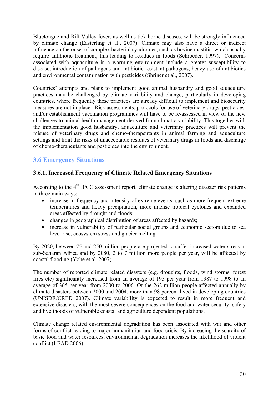Bluetongue and Rift Valley fever, as well as tick-borne diseases, will be strongly influenced by climate change (Easterling et al., 2007). Climate may also have a direct or indirect influence on the onset of complex bacterial syndromes, such as bovine mastitis, which usually require antibiotic treatment; this leading to residues in foods (Schroeder, 1997). Concerns associated with aquaculture in a warming environment include a greater susceptibility to disease, introduction of pathogens and antibiotic-resistant pathogens, heavy use of antibiotics and environmental contamination with pesticides (Shriner et al., 2007).

Countries' attempts and plans to implement good animal husbandry and good aquaculture practices may be challenged by climate variability and change, particularly in developing countries, where frequently these practices are already difficult to implement and biosecurity measures are not in place. Risk assessments, protocols for use of veterinary drugs, pesticides, and/or establishment vaccination programmes will have to be re-assessed in view of the new challenges to animal health management derived from climatic variability. This together with the implementation good husbandry, aquaculture and veterinary practices will prevent the misuse of veterinary drugs and chemo-therapeutants in animal farming and aquaculture settings and limit the risks of unacceptable residues of veterinary drugs in foods and discharge of chemo-therapeutants and pesticides into the environment.

# **3.6 Emergency Situations**

# **3.6.1. Increased Frequency of Climate Related Emergency Situations**

According to the 4<sup>th</sup> IPCC assessment report, climate change is altering disaster risk patterns in three main ways:

- increase in frequency and intensity of extreme events, such as more frequent extreme temperatures and heavy precipitation, more intense tropical cyclones and expanded areas affected by drought and floods;
- changes in geographical distribution of areas affected by hazards;
- increase in vulnerability of particular social groups and economic sectors due to sea level rise, ecosystem stress and glacier melting.

By 2020, between 75 and 250 million people are projected to suffer increased water stress in sub-Saharan Africa and by 2080, 2 to 7 million more people per year, will be affected by coastal flooding (Yohe et al. 2007).

The number of reported climate related disasters (e.g. droughts, floods, wind storms, forest fires etc) significantly increased from an average of 195 per year from 1987 to 1998 to an average of 365 per year from 2000 to 2006. Of the 262 million people affected annually by climate disasters between 2000 and 2004, more than 98 percent lived in developing countries (UNISDR/CRED 2007). Climate variability is expected to result in more frequent and extensive disasters, with the most severe consequences on the food and water security, safety and livelihoods of vulnerable coastal and agriculture dependent populations.

Climate change related environmental degradation has been associated with war and other forms of conflict leading to major humanitarian and food crisis. By increasing the scarcity of basic food and water resources, environmental degradation increases the likelihood of violent conflict (LEAD 2006).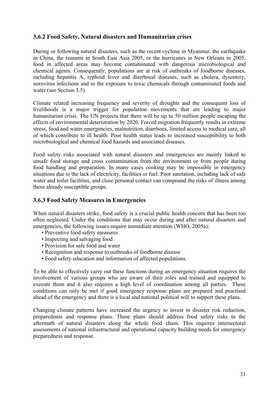## **3.6.2 Food Safety, Natural disasters and Humanitarian crises**

During or following natural disasters, such as the recent cyclone in Myanmar, the earthquake in China, the tsunami in South East Asia 2005, or the hurricanes in New Orleans in 2005, food in affected areas may become contaminated with dangerous microbiological and chemical agents. Consequently, populations are at risk of outbreaks of foodborne diseases, including hepatitis A, typhoid fever and diarrhoeal diseases, such as cholera, dysentery, norovirus infections and to the exposure to toxic chemicals through contaminated foods and water (see Section 3.5).

Climate related increasing frequency and severity of droughts and the consequent loss of livelihoods is a major trigger for population movements that are leading to major humanitarian crisis. The UN projects that there will be up to 50 million people escaping the effects of environmental deterioration by 2020. Forced migration frequently results in extreme stress, food and water emergencies, malnutrition, diarrhoea, limited access to medical care, all of which contribute to ill health. Poor health status leads to increased susceptibility to both microbiological and chemical food hazards and associated diseases.

Food safety risks associated with natural disasters and emergencies are mainly linked to unsafe food storage and cross contamination from the environment or from people during food handling and preparation. In many cases cooking may be impossible in emergency situations due to the lack of electricity, facilities or fuel. Poor sanitation, including lack of safe water and toilet facilities, and close personal contact can compound the risks of illness among these already susceptible groups.

## **3.6.3 Food Safety Measures in Emergencies**

When natural disasters strike, food safety is a crucial public health concern that has been too often neglected. Under the conditions that may occur during and after natural disasters and emergencies, the following issues require immediate attention (WHO, 2005a):

- Preventive food safety measures
- Inspecting and salvaging food
- Provision for safe food and water
- Recognition and response to outbreaks of foodborne disease
- Food safety education and information of affected populations.

To be able to effectively carry out these functions during an emergency situation requires the involvement of various groups who are aware of their roles and trained and equipped to execute them and it also requires a high level of coordination among all parties. These conditions can only be met if good emergency response plans are prepared and practised ahead of the emergency and there is a local and national political will to support these plans.

Changing climate patterns have increased the urgency to invest in disaster risk reduction, preparedness and response plans. These plans should address food safety risks in the aftermath of natural disasters along the whole food chain. This requires intersectoral assessments of national infrastructural and operational capacity building needs for emergency preparedness and response.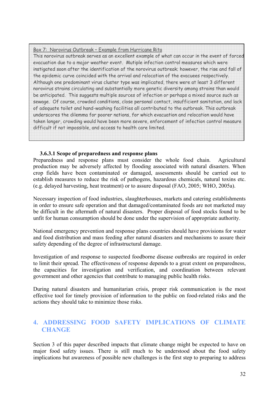Box 7: Norovirus Outbreak – Example from Hurricane Rita This norovirus outbreak serves as an excellent example of what can occur in the event of forced evacuation due to a major weather event. Mutiple infection control measures which were instigated soon after the identification of the norovirus outbreak; however, the rise and fall of the epidemic curve coincided with the arrival and relocation of the evacuees respectively. Although one predominant virus cluster type was implicated, there were at least 3 different norovirus strains circulating and substantially more genetic diversity among strains than would be anticipated. This suggests multiple sources of infection or perhaps a mixed source such as sewage. Of course, crowded conditions, close personal contact, insufficient sanitation, and lack of adequate toilet and hand-washing facilities all contributed to the outbreak. This outbreak underscores the dilemma for poorer nations, for which evacuation and relocation would have taken longer, crowding would have been more severe, enforcement of infection control measure difficult if not impossible, and access to health care limited.

#### **3.6.3.1 Scope of preparedness and response plans**

Preparedness and response plans must consider the whole food chain. Agricultural production may be adversely affected by flooding associated with natural disasters. When crop fields have been contaminated or damaged, assessments should be carried out to establish measures to reduce the risk of pathogens, hazardous chemicals, natural toxins etc. (e.g. delayed harvesting, heat treatment) or to assure disposal (FAO, 2005; WHO, 2005a).

Necessary inspection of food industries, slaughterhouses, markets and catering establishments in order to ensure safe operation and that damaged/contaminated foods are not marketed may be difficult in the aftermath of natural disasters. Proper disposal of food stocks found to be unfit for human consumption should be done under the supervision of appropriate authority.

National emergency prevention and response plans countries should have provisions for water and food distribution and mass feeding after natural disasters and mechanisms to assure their safety depending of the degree of infrastructural damage.

Investigation of and response to suspected foodborne disease outbreaks are required in order to limit their spread. The effectiveness of response depends to a great extent on preparedness, the capacities for investigation and verification, and coordination between relevant government and other agencies that contribute to managing public health risks.

During natural disasters and humanitarian crisis, proper risk communication is the most effective tool for timely provision of information to the public on food-related risks and the actions they should take to minimize those risks.

# **4. ADDRESSING FOOD SAFETY IMPLICATIONS OF CLIMATE CHANGE**

Section 3 of this paper described impacts that climate change might be expected to have on major food safety issues. There is still much to be understood about the food safety implications but awareness of possible new challenges is the first step to preparing to address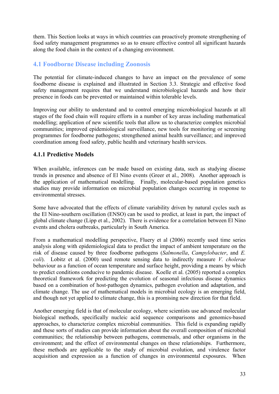them. This Section looks at ways in which countries can proactively promote strengthening of food safety management programmes so as to ensure effective control all significant hazards along the food chain in the context of a changing environment.

## **4.1 Foodborne Disease including Zoonosis**

The potential for climate-induced changes to have an impact on the prevalence of some foodborne disease is explained and illustrated in Section 3.3. Strategic and effective food safety management requires that we understand microbiological hazards and how their presence in foods can be prevented or maintained within tolerable levels.

Improving our ability to understand and to control emerging microbiological hazards at all stages of the food chain will require efforts in a number of key areas including mathematical modelling; application of new scientific tools that allow us to characterize complex microbial communities; improved epidemiological surveillance, new tools for monitoring or screening programmes for foodborne pathogens; strengthened animal health surveillance; and improved coordination among food safety, public health and veterinary health services.

## **4.1.1 Predictive Models**

When available, inferences can be made based on existing data, such as studying disease trends in presence and absence of El Nino events (Greer et al., 2008). Another approach is the application of mathematical modelling. Finally, molecular-based population genetics studies may provide information on microbial population changes occurring in response to environmental stresses.

Some have advocated that the effects of climate variability driven by natural cycles such as the El Nino-southern oscillation (ENSO) can be used to predict, at least in part, the impact of global climate change (Lipp et al., 2002). There is evidence for a correlation between El Nino events and cholera outbreaks, particularly in South America.

From a mathematical modelling perspective, Fluery et al (2006) recently used time series analysis along with epidemiological data to predict the impact of ambient temperature on the risk of disease caused by three foodborne pathogens (*Salmonella*, *Campylobacter*, and *E. coli*). Lobitz et al. (2000) used remote sensing data to indirectly measure *V. cholerae* behaviour as a function of ocean temperature and surface height, providing a means by which to predict conditions conducive to pandemic disease. Koelle et al. (2005) reported a complex theoretical framework for predicting the evolution of seasonal infectious disease dynamics based on a combination of host-pathogen dynamics, pathogen evolution and adaptation, and climate change. The use of mathematical models in microbial ecology is an emerging field, and though not yet applied to climate change, this is a promising new direction for that field.

Another emerging field is that of molecular ecology, where scientists use advanced molecular biological methods, specifically nucleic acid sequence comparisons and genomics-based approaches, to characterize complex microbial communities. This field is expanding rapidly and these sorts of studies can provide information about the overall composition of microbial communities; the relationship between pathogens, commensals, and other organisms in the environment; and the effect of environmental changes on these relationships. Furthermore, these methods are applicable to the study of microbial evolution, and virulence factor acquisition and expression as a function of changes in environmental exposures. When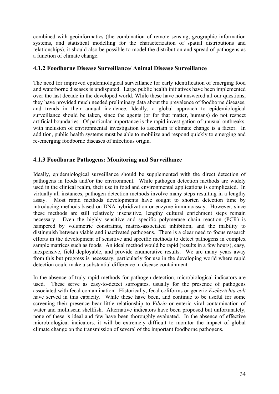combined with geoinformatics (the combination of remote sensing, geographic information systems, and statistical modelling for the characterization of spatial distributions and relationships), it should also be possible to model the distribution and spread of pathogens as a function of climate change.

## **4.1.2 Foodborne Disease Surveillance/ Animal Disease Surveillance**

The need for improved epidemiological surveillance for early identification of emerging food and waterborne diseases is undisputed. Large public health initiatives have been implemented over the last decade in the developed world. While these have not answered all our questions, they have provided much needed preliminary data about the prevalence of foodborne diseases, and trends in their annual incidence. Ideally, a global approach to epidemiological surveillance should be taken, since the agents (or for that matter, humans) do not respect artificial boundaries. Of particular importance is the rapid investigation of unusual outbreaks, with inclusion of environmental investigation to ascertain if climate change is a factor. In addition, public health systems must be able to mobilize and respond quickly to emerging and re-emerging foodborne diseases of infectious origin.

## **4.1.3 Foodborne Pathogens: Monitoring and Surveillance**

Ideally, epidemiological surveillance should be supplemented with the direct detection of pathogens in foods and/or the environment. While pathogen detection methods are widely used in the clinical realm, their use in food and environmental applications is complicated. In virtually all instances, pathogen detection methods involve many steps resulting in a lengthy assay. Most rapid methods developments have sought to shorten detection time by introducing methods based on DNA hybridization or enzyme immunoassay. However, since these methods are still relatively insensitive, lengthy cultural enrichment steps remain necessary. Even the highly sensitive and specific polymerase chain reaction (PCR) is hampered by volumetric constraints, matrix-associated inhibition, and the inability to distinguish between viable and inactivated pathogens. There is a clear need to focus research efforts in the development of sensitive and specific methods to detect pathogens in complex sample matrices such as foods. An ideal method would be rapid (results in a few hours), easy, inexpensive, field deployable, and provide enumerative results. We are many years away from this but progress is necessary, particularly for use in the developing world where rapid detection could make a substantial difference in disease containment.

In the absence of truly rapid methods for pathogen detection, microbiological indicators are used. These serve as easy-to-detect surrogates, usually for the presence of pathogens associated with fecal contamination. Historically, fecal coliforms or generic *Escherichia coli* have served in this capacity. While these have been, and continue to be useful for some screening their presence bear little relationship to *Vibrio* or enteric viral contamination of water and molluscan shellfish. Alternative indicators have been proposed but unfortunately, none of these is ideal and few have been thoroughly evaluated. In the absence of effective microbiological indicators, it will be extremely difficult to monitor the impact of global climate change on the transmission of several of the important foodborne pathogens.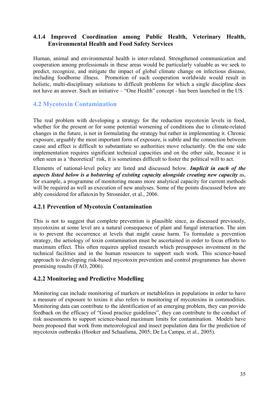## **4.1.4 Improved Coordination among Public Health, Veterinary Health, Environmental Health and Food Safety Services**

Human, animal and environmental health is inter-related. Strengthened communication and cooperation among professionals in these areas would be particularly valuable as we seek to predict, recognize, and mitigate the impact of global climate change on infectious disease, including foodborne illness. Promotion of such cooperation worldwide would result in holistic, multi-disciplinary solutions to difficult problems for which a single discipline does not have an answer. Such an initiative – "One Health" concept - has been launched in the US.

# **4.2 Mycotoxin Contamination**

The real problem with developing a strategy for the reduction mycotoxin levels in food, whether for the present or for some potential worsening of conditions due to climate-related changes in the future, is not in formulating the strategy but rather in implementing it. Chronic exposure, arguably the most important form of exposure, is subtle and the connection between cause and effect is difficult to substantiate so authorities move reluctantly. On the one side implementation requires significant technical capacities and on the other side, because it is often seen as a 'theoretical' risk, it is sometimes difficult to foster the political will to act.

Elements of national-level policy are listed and discussed below. *Implicit in each of the aspects listed below is a bolstering of existing capacity alongside creating new capacity* as, for example, a programme of monitoring means more analytical capacity for current methods will be required as well as execution of new analyses. Some of the points discussed below are ably considered for aflatoxin by Strosnider, et al., 2006.

## **4.2.1 Prevention of Mycotoxin Contamination**

This is not to suggest that complete prevention is plausible since, as discussed previously, mycotoxins at some level are a natural consequence of plant and fungal interaction. The aim is to prevent the occurrence at levels that might cause harm. To formulate a prevention strategy, the aetiology of toxin contamination must be ascertained in order to focus efforts to maximum effect. This often requires applied research which presupposes investment in the technical facilities and in the human resources to support such work. This science-based approach to developing risk-based mycotoxin prevention and control programmes has shown promising results (FAO, 2006).

#### **4.2.2 Monitoring and Predictive Modelling**

Monitoring can include monitoring of markers or metablolites in populations in order to have a measure of exposure to toxins it also refers to monitoring of mycotoxins in commodities. Monitoring data can contribute to the identification of an emerging problem, they can provide feedback on the efficacy of "Good practice guidelines", they can contribute to the conduct of risk assessments to support science-based maximum limits for contamination. Models have been proposed that work from meteorological and insect population data for the prediction of mycotoxin outbreaks (Hooker and Schaafsma, 2005; De La Campa, et al., 2005).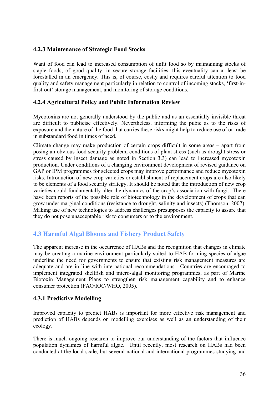## **4.2.3 Maintenance of Strategic Food Stocks**

Want of food can lead to increased consumption of unfit food so by maintaining stocks of staple foods, of good quality, in secure storage facilities, this eventuality can at least be forestalled in an emergency. This is, of course, costly and requires careful attention to food quality and safety management particularly in relation to control of incoming stocks, 'first-infirst-out' storage management, and monitoring of storage conditions.

## **4.2.4 Agricultural Policy and Public Information Review**

Mycotoxins are not generally understood by the public and as an essentially invisible threat are difficult to publicise effectively. Nevertheless, informing the pubic as to the risks of exposure and the nature of the food that carries these risks might help to reduce use of or trade in substandard food in times of need.

Climate change may make production of certain crops difficult in some areas – apart from posing an obvious food security problem, conditions of plant stress (such as drought stress or stress caused by insect damage as noted in Section 3.3) can lead to increased mycotoxin production. Under conditions of a changing environment development of revised guidance on GAP or IPM programmes for selected crops may improve performance and reduce mycotoxin risks. Introduction of new crop varieties or establishment of replacement crops are also likely to be elements of a food security strategy. It should be noted that the introduction of new crop varieties could fundamentally alter the dynamics of the crop's association with fungi. There have been reports of the possible role of biotechnology in the development of crops that can grow under marginal conditions (resistance to drought, salinity and insects) (Thomson, 2007). Making use of new technologies to address challenges presupposes the capacity to assure that they do not pose unacceptable risk to consumers or to the environment.

# **4.3 Harmful Algal Blooms and Fishery Product Safety**

The apparent increase in the occurrence of HABs and the recognition that changes in climate may be creating a marine environment particularly suited to HAB-forming species of algae underline the need for governments to ensure that existing risk management measures are adequate and are in line with international recommendations. Countries are encouraged to implement integrated shellfish and micro-algal monitoring programmes, as part of Marine Biotoxin Management Plans to strengthen risk management capability and to enhance consumer protection (FAO/IOC/WHO, 2005).

## **4.3.1 Predictive Modelling**

Improved capacity to predict HABs is important for more effective risk management and prediction of HABs depends on modelling exercises as well as an understanding of their ecology.

There is much ongoing research to improve our understanding of the factors that influence population dynamics of harmful algae. Until recently, most research on HABs had been conducted at the local scale, but several national and international programmes studying and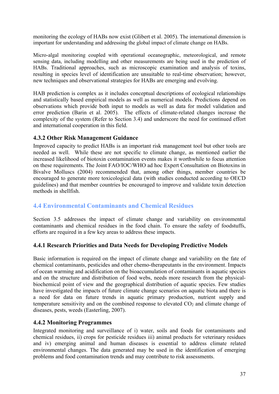monitoring the ecology of HABs now exist (Glibert et al. 2005). The international dimension is important for understanding and addressing the global impact of climate change on HABs.

Micro-algal monitoring coupled with operational oceanographic, meteorological, and remote sensing data, including modelling and other measurements are being used in the prediction of HABs. Traditional approaches, such as microscopic examination and analysis of toxins, resulting in species level of identification are unsuitable to real-time observation; however, new techniques and observational strategies for HABs are emerging and evolving.

HAB prediction is complex as it includes conceptual descriptions of ecological relationships and statistically based empirical models as well as numerical models. Predictions depend on observations which provide both input to models as well as data for model validation and error prediction (Barin et al. 2005). The effects of climate-related changes increase the complexity of the system (Refer to Section 3.4) and underscore the need for continued effort and international cooperation in this field.

## **4.3.2 Other Risk Management Guidance**

Improved capacity to predict HABs is an important risk management tool but other tools are needed as well. While these are not specific to climate change, as mentioned earlier the increased likelihood of biotoxin contamination events makes it worthwhile to focus attention on these requirements. The Joint FAO/IOC/WHO ad hoc Expert Consultation on Biotoxins in Bivalve Molluscs (2004) recommended that, among other things, member countries be encouraged to generate more toxicological data (with studies conducted according to OECD guidelines) and that member countries be encouraged to improve and validate toxin detection methods in shellfish.

# **4.4 Environmental Contaminants and Chemical Residues**

Section 3.5 addresses the impact of climate change and variability on environmental contaminants and chemical residues in the food chain. To ensure the safety of foodstuffs, efforts are required in a few key areas to address these impacts.

## **4.4.1 Research Priorities and Data Needs for Developing Predictive Models**

Basic information is required on the impact of climate change and variability on the fate of chemical contaminants, pesticides and other chemo-therapeutants in the environment. Impacts of ocean warming and acidification on the bioaccumulation of contaminants in aquatic species and on the structure and distribution of food webs, needs more research from the physicalbiochemical point of view and the geographical distribution of aquatic species. Few studies have investigated the impacts of future climate change scenarios on aquatic biota and there is a need for data on future trends in aquatic primary production, nutrient supply and temperature sensitivity and on the combined response to elevated  $CO<sub>2</sub>$  and climate change of diseases, pests, weeds (Easterling, 2007).

## **4.4.2 Monitoring Programmes**

Integrated monitoring and surveillance of i) water, soils and foods for contaminants and chemical residues, ii) crops for pesticide residues iii) animal products for veterinary residues and iv) emerging animal and human diseases is essential to address climate related environmental changes. The data generated may be used in the identification of emerging problems and food contamination trends and may contribute to risk assessments.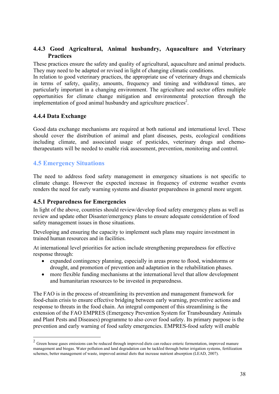## **4.4.3 Good Agricultural, Animal husbandry, Aquaculture and Veterinary Practices**

These practices ensure the safety and quality of agricultural, aquaculture and animal products. They may need to be adapted or revised in light of changing climatic conditions.

In relation to good veterinary practices, the appropriate use of veterinary drugs and chemicals in terms of safety, quality, amounts, frequency and timing and withdrawal times, are particularly important in a changing environment. The agriculture and sector offers multiple opportunities for climate change mitigation and environmental protection through the implementation of good animal husbandry and agriculture practices<sup>2</sup>.

## **4.4.4 Data Exchange**

Good data exchange mechanisms are required at both national and international level. These should cover the distribution of animal and plant diseases, pests, ecological conditions including climate, and associated usage of pesticides, veterinary drugs and chemotherapeutants will be needed to enable risk assessment, prevention, monitoring and control.

# **4.5 Emergency Situations**

1

The need to address food safety management in emergency situations is not specific to climate change. However the expected increase in frequency of extreme weather events renders the need for early warning systems and disaster preparedness in general more urgent.

## **4.5.1 Preparedness for Emergencies**

In light of the above, countries should review/develop food safety emergency plans as well as review and update other Disaster/emergency plans to ensure adequate consideration of food safety management issues in those situations.

Developing and ensuring the capacity to implement such plans may require investment in trained human resources and in facilities.

At international level priorities for action include strengthening preparedness for effective response through:

- expanded contingency planning, especially in areas prone to flood, windstorms or drought, and promotion of prevention and adaptation in the rehabilitation phases.
- more flexible funding mechanisms at the international level that allow development and humanitarian resources to be invested in preparedness.

The FAO is in the process of streamlining its prevention and management framework for food-chain crisis to ensure effective bridging between early warning, preventive actions and response to threats in the food chain. An integral component of this streamlining is the extension of the FAO EMPRES (Emergency Prevention System for Transboundary Animals and Plant Pests and Diseases) programme to also cover food safety. Its primary purpose is the prevention and early warning of food safety emergencies. EMPRES-food safety will enable

 $2\sigma$  Green house gases emissions can be reduced through improved diets can reduce enteric fermentation, improved manure management and biogas. Water pollution and land degradation can be tackled through better irrigation systems, fertilization schemes, better management of waste, improved animal diets that increase nutrient absorption (LEAD, 2007).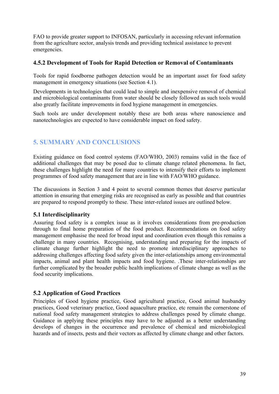FAO to provide greater support to INFOSAN, particularly in accessing relevant information from the agriculture sector, analysis trends and providing technical assistance to prevent emergencies.

## **4.5.2 Development of Tools for Rapid Detection or Removal of Contaminants**

Tools for rapid foodborne pathogen detection would be an important asset for food safety management in emergency situations (see Section 4.1).

Developments in technologies that could lead to simple and inexpensive removal of chemical and microbiological contaminants from water should be closely followed as such tools would also greatly facilitate improvements in food hygiene management in emergencies.

Such tools are under development notably these are both areas where nanoscience and nanotechnologies are expected to have considerable impact on food safety.

# **5. SUMMARY AND CONCLUSIONS**

Existing guidance on food control systems (FAO/WHO, 2003) remains valid in the face of additional challenges that may be posed due to climate change related phenomena. In fact, these challenges highlight the need for many countries to intensify their efforts to implement programmes of food safety management that are in line with FAO/WHO guidance.

The discussions in Section 3 and 4 point to several common themes that deserve particular attention in ensuring that emerging risks are recognised as early as possible and that countries are prepared to respond promptly to these. These inter-related issues are outlined below.

## **5.1 Interdisciplinarity**

Assuring food safety is a complex issue as it involves considerations from pre-production through to final home preparation of the food product. Recommendations on food safety management emphasise the need for broad input and coordination even though this remains a challenge in many countries. Recognising, understanding and preparing for the impacts of climate change further highlight the need to promote interdisciplinary approaches to addressing challenges affecting food safety given the inter-relationships among environmental impacts, animal and plant health impacts and food hygiene. .These inter-relationships are further complicated by the broader public health implications of climate change as well as the food security implications.

## **5.2 Application of Good Practices**

Principles of Good hygiene practice, Good agricultural practice, Good animal husbandry practices, Good veterinary practice, Good aquaculture practice, etc remain the cornerstone of national food safety management strategies to address challenges posed by climate change. Guidance in applying these principles may have to be adjusted as a better understanding develops of changes in the occurrence and prevalence of chemical and microbiological hazards and of insects, pests and their vectors as affected by climate change and other factors.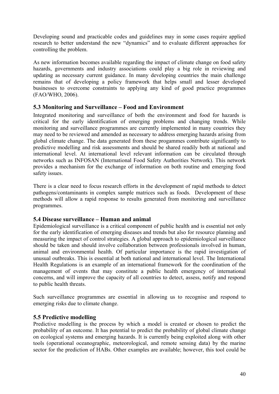Developing sound and practicable codes and guidelines may in some cases require applied research to better understand the new "dynamics" and to evaluate different approaches for controlling the problem.

As new information becomes available regarding the impact of climate change on food safety hazards, governments and industry associations could play a big role in reviewing and updating as necessary current guidance. In many developing countries the main challenge remains that of developing a policy framework that helps small and lesser developed businesses to overcome constraints to applying any kind of good practice programmes (FAO/WHO, 2006).

## **5.3 Monitoring and Surveillance – Food and Environment**

Integrated monitoring and surveillance of both the environment and food for hazards is critical for the early identification of emerging problems and changing trends. While monitoring and surveillance programmes are currently implemented in many countries they may need to be reviewed and amended as necessary to address emerging hazards arising from global climate change. The data generated from these progammes contribute significantly to predictive modelling and risk assessments and should be shared readily both at national and international level. At international level relevant information can be circulated through networks such as INFOSAN (International Food Safety Authorities Network). This network provides a mechanism for the exchange of information on both routine and emerging food safety issues.

There is a clear need to focus research efforts in the development of rapid methods to detect pathogens/contaminants in complex sample matrices such as foods. Development of these methods will allow a rapid response to results generated from monitoring and surveillance programmes.

## **5.4 Disease surveillance – Human and animal**

Epidemiological surveillance is a critical component of public health and is essential not only for the early identification of emerging diseases and trends but also for resource planning and measuring the impact of control strategies. A global approach to epidemiological surveillance should be taken and should involve collaboration between professionals involved in human, animal and environmental health. Of particular importance is the rapid investigation of unusual outbreaks. This is essential at both national and international level. The International Health Regulations is an example of an international framework for the coordination of the management of events that may constitute a public health emergency of international concerns, and will improve the capacity of all countries to detect, assess, notify and respond to public health threats.

Such surveillance programmes are essential in allowing us to recognise and respond to emerging risks due to climate change.

## **5.5 Predictive modelling**

Predictive modelling is the process by which a model is created or chosen to predict the probability of an outcome. It has potential to predict the probability of global climate change on ecological systems and emerging hazards. It is currently being exploited along with other tools (operational oceanographic, meteorological, and remote sensing data) by the marine sector for the prediction of HABs. Other examples are available; however, this tool could be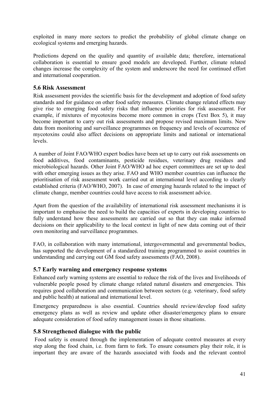exploited in many more sectors to predict the probability of global climate change on ecological systems and emerging hazards.

Predictions depend on the quality and quantity of available data; therefore, international collaboration is essential to ensure good models are developed. Further, climate related changes increase the complexity of the system and underscore the need for continued effort and international cooperation.

## **5.6 Risk Assessment**

Risk assessment provides the scientific basis for the development and adoption of food safety standards and for guidance on other food safety measures. Climate change related effects may give rise to emerging food safety risks that influence priorities for risk assessment. For example, if mixtures of mycotoxins become more common in crops (Text Box 5), it may become important to carry out risk assessments and propose revised maximum limits. New data from monitoring and surveillance programmes on frequency and levels of occurrence of mycotoxins could also affect decisions on appropriate limits and national or international levels.

A number of Joint FAO/WHO expert bodies have been set up to carry out risk assessments on food additives, food contaminants, pesticide residues, veterinary drug residues and microbiological hazards. Other Joint FAO/WHO ad hoc expert committees are set up to deal with other emerging issues as they arise. FAO and WHO member countries can influence the prioritisation of risk assessment work carried out at international level according to clearly established criteria (FAO/WHO, 2007). In case of emerging hazards related to the impact of climate change, member countries could have access to risk assessment advice.

Apart from the question of the availability of international risk assessment mechanisms it is important to emphasise the need to build the capacities of experts in developing countries to fully understand how these assessments are carried out so that they can make informed decisions on their applicability to the local context in light of new data coming out of their own monitoring and surveillance programmes.

FAO, in collaboration with many international, intergovernmental and governmental bodies, has supported the development of a standardized training programmed to assist countries in understanding and carrying out GM food safety assessments (FAO, 2008).

## **5.7 Early warning and emergency response systems**

Enhanced early warning systems are essential to reduce the risk of the lives and livelihoods of vulnerable people posed by climate change related natural disasters and emergencies. This requires good collaboration and communication between sectors (e.g. veterinary, food safety and public health) at national and international level.

Emergency preparedness is also essential. Countries should review/develop food safety emergency plans as well as review and update other disaster/emergency plans to ensure adequate consideration of food safety management issues in those situations.

## **5.8 Strengthened dialogue with the public**

 Food safety is ensured through the implementation of adequate control measures at every step along the food chain, i.e. from farm to fork. To ensure consumers play their role, it is important they are aware of the hazards associated with foods and the relevant control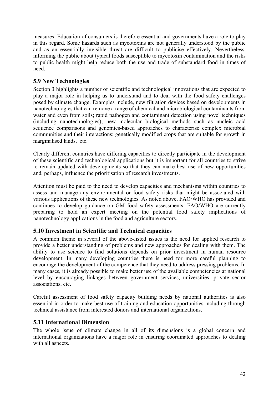measures. Education of consumers is therefore essential and governments have a role to play in this regard. Some hazards such as mycotoxins are not generally understood by the public and as an essentially invisible threat are difficult to publicise effectively. Nevertheless, informing the public about typical foods susceptible to mycotoxin contamination and the risks to public health might help reduce both the use and trade of substandard food in times of need.

## **5.9 New Technologies**

Section 3 highlights a number of scientific and technological innovations that are expected to play a major role in helping us to understand and to deal with the food safety challenges posed by climate change. Examples include, new filtration devices based on developments in nanotechnologies that can remove a range of chemical and microbiological contaminants from water and even from soils; rapid pathogen and contaminant detection using novel techniques (including nanotechnologies); new molecular biological methods such as nucleic acid sequence comparisons and genomics-based approaches to characterise complex microbial communities and their interactions; genetically modified crops that are suitable for growth in marginalised lands, etc.

Clearly different countries have differing capacities to directly participate in the development of these scientific and technological applications but it is important for all countries to strive to remain updated with developments so that they can make best use of new opportunities and, perhaps, influence the prioritisation of research investments.

Attention must be paid to the need to develop capacities and mechanisms within countries to assess and manage any environmental or food safety risks that might be associated with various applications of these new technologies. As noted above, FAO/WHO has provided and continues to develop guidance on GM food safety assessments. FAO/WHO are currently preparing to hold an expert meeting on the potential food safety implications of nanotechnology applications in the food and agriculture sectors.

## **5.10 Investment in Scientific and Technical capacities**

A common theme in several of the above-listed issues is the need for applied research to provide a better understanding of problems and new approaches for dealing with them. The ability to use science to find solutions depends on prior investment in human resource development. In many developing countries there is need for more careful planning to encourage the development of the competence that they need to address pressing problems. In many cases, it is already possible to make better use of the available competencies at national level by encouraging linkages between government services, universities, private sector associations, etc.

Careful assessment of food safety capacity building needs by national authorities is also essential in order to make best use of training and education opportunities including through technical assistance from interested donors and international organizations.

## **5.11 International Dimension**

The whole issue of climate change in all of its dimensions is a global concern and international organizations have a major role in ensuring coordinated approaches to dealing with all aspects.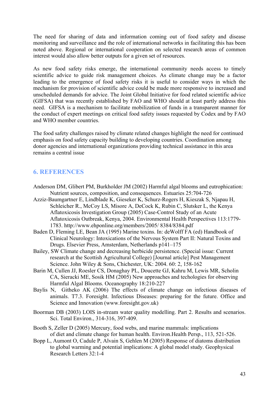The need for sharing of data and information coming out of food safety and disease monitoring and surveillance and the role of international networks in facilitating this has been noted above. Regional or international cooperation on selected research areas of common interest would also allow better outputs for a given set of resources.

As new food safety risks emerge, the international community needs access to timely scientific advice to guide risk management choices. As climate change may be a factor leading to the emergence of food safety risks it is useful to consider ways in which the mechanism for provision of scientific advice could be made more responsive to increased and unscheduled demands for advice. The Joint Global Initiative for food related scientific advice (GIFSA) that was recently established by FAO and WHO should at least partly address this need. GIFSA is a mechanism to facilitate mobilization of funds in a transparent manner for the conduct of expert meetings on critical food safety issues requested by Codex and by FAO and WHO member countries.

The food safety challenges raised by climate related changes highlight the need for continued emphasis on food safety capacity building to developing countries. Coordination among donor agencies and international organizations providing technical assistance in this area remains a central issue

# **6. REFERENCES**

- Anderson DM, Glibert PM, Burkholder JM (2002) Harmful algal blooms and eutrophication: Nutrient sources, composition, and consequences. Estuaries 25:704-726
- Azziz-Baumgartner E, Lindblade K, Gieseker K, Schurz-Rogers H, Kieszak S, Njapau H, Schleicher R., McCoy LS, Misore A, DeCock K, Rubin C, Slutsker L, the Kenya Aflatoxicosis Investigation Group (2005) Case-Control Study of an Acute Aflatoxicosis Outbreak, Kenya, 2004. Environmental Health Perspectives 113:1779- 1783. http://www.ehponline.org/members/2005/ 8384/8384.pdf
- Baden D, Fleming LE, Bean JA (1995) Marine toxins. In: deWolff FA (ed) Handbook of Clinical Neurology: Intoxications of the Nervous System Part II: Natural Toxins and Drugs. Elsevier Press, Amsterdam, Netherlands p141–175
- Bailey, SW Climate change and decreasing herbicide persistence. (Special issue: Current research at the Scottish Agricultural College) [Journal article] Pest Management Science. John Wiley & Sons, Chichester, UK: 2004. 60: 2, 158-162
- Barin M, Cullen JJ, Roesler CS, Donaghay PL, Doucette GJ, Kahru M, Lewis MR, Scholin CA, Sieracki ME, Sosik HM (2005) New approaches and techologies for observing Harmful Algal Blooms. Oceanography 18:210-227
- Baylis N, Githeko AK (2006) The effects of climate change on infectious diseases of animals. T7.3. Foresight. Infectious Diseases: preparing for the future. Office and Science and Innovation (www.foresight.gov.uk)
- Boorman DB (2003) LOIS in-stream water quality modelling. Part 2. Results and scenarios. Sci. Total Environ., 314-316, 397-409.
- Booth S, Zeller D (2005) Mercury, food webs, and marine mammals: implications of diet and climate change for human health. Environ.Health Persp., 113, 521-526.
- Bopp L, Aumont O, Cadule P, Alvain S, Gehlen M (2005) Response of diatoms distribution to global warming and potential implications: A global model study. Geophysical Research Letters 32:1-4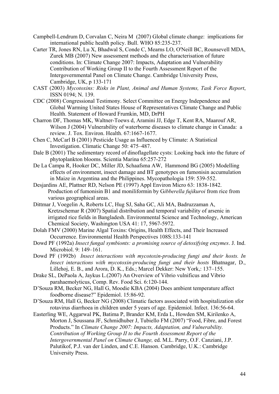- Campbell-Lendrum D, Corvalan C, Neira M (2007) Global climate change: implications for international public health policy. Bull. WHO 85:235-237.
- Carter TR, Jones RN, Lu X, Bhadwal S, Conde C, Mearns LO, O'Neill BC, Rounsevell MDA, Zurek MB (2007) New assessment methods and the characterisation of future conditions. In: Climate Change 2007: Impacts, Adaptation and Vulnerability Contribution of Working Group II to the Fourth Assessment Report of the Intergovernmental Panel on Climate Change. Cambridge University Press, Cambridge, UK, p 133-171
- CAST (2003) *Mycotoxins: Risks in Plant, Animal and Human Systems, Task Force Report*, ISSN 0194; N. 139.
- CDC (2008) Congressional Testimony. Select Committee on Energy Independence and Global Warming United States House of Representatives Climate Change and Public Health. Statement of Howard Frumkin, MD, DrPH
- Charron DF, Thomas MK, Waltner-Toews d, Aramini JJ, Edge T, Kent RA, Maarouf AR, Wilson J (2004) Vulnerability of waterborne diseases to climate change in Canada: a review. J. Tox. Environ. Health. 67:1667-1677.
- Chen C, McCarl B (2001) Pesticide Usage as Influenced by Climate: A Statistical Investigation. Climatic Change 50: 475–487.
- Dale B (2001) The sedimentary record of dinoflagellate cysts: Looking back into the future of phytoplankton blooms. Scientia Marina 65:257-272
- De La Campa R, Hooker DC, Miller JD, Schaafsma AW, Hammond BG (2005) Modelling effects of environment, insect damage and BT genotypes on fumonisin accumulation in Maize in Argentina and the Philippines. Mycopathologia 159: 539-552.
- Desjardins AE, Plattner RD, Nelson PE (1997) Appl Environ Micro 63: 1838-1842. Production of fumonisin B1 and moniliformin by G*ibberella fujikuroi* from rice from various geographical areas.
- Dittmar J, Voegelin A, Roberts LC, Hug SJ, Saha GC, Ali MA, Badruzzaman A, Kretzschemar R (2007) Spatial distribution and temporal variability of arsenic in irrigated rice fields in Bangladesh. Environmental Science and Technology, American Chemical Society, Washington USA 41: 17, 5967-5972.
- Dolah FMV (2000) Marine Algal Toxins: Origins, Health Effects, and Their Increased Occurrence. Environmental Health Perspectives 108S:133-141
- Dowd PF (1992a) *Insect fungal symbionts: a promising source of detoxifying enzymes*. J. Ind. Microbiol. 9: 149–161.
- Dowd PF (1992b) *Insect interactions with mycotoxin-producing fungi and their hosts. In Insect interactions with mycotoxin-producing fungi and their hosts* Bhatnagar, D., Lillehoj, E. B., and Arora, D. K., Eds.; Marcel Dekker: New York,: 137–155.
- Drake SL, DePaola A, Jaykus L.(2007) An Overview of Vibrio vulnificus and Vibrio parahaemolyticus, Comp. Rev. Food Sci. 6:120-144.
- D'Souza RM, Becker NG, Hall G, Moodie KBA (2004) Does ambient temperature affect foodborne disease?" Epidemiol. 15:86-92.
- D'Souza RM, Hall G, Becker NG (2008) Climatic factors associated with hospitalization sfor rotavirus diarrhoea in children under 5 years of age. Epidemiol. Infect. 136:56-64.
- Easterling WE, Aggarwal PK, Batima P, Brander KM, Erda L, Howden SM, Kirilenko A, Morton J, Soussana JF, Schmidhuber J, Tubiello FM (2007) "Food, Fibre, and Forest Products." In *Climate Change 2007: Impacts, Adaptation, and Vulnerability. Contribution of Working Group II to the Fourth Assessment Report of the Intergovernmental Panel on Climate Change,* ed. M.L. Parry, O.F. Canziani, J.P. Palutikof, P.J. van der Linden, and C.E. Hanson. Cambridge, U.K.: Cambridge University Press.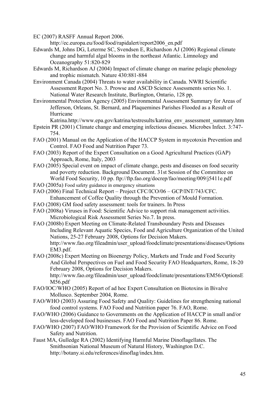EC (2007) RASFF Annual Report 2006.

http://ec.europa.eu/food/food/rapidalert/report2006\_en.pdf

- Edwards M, Johns DG, Leterme SC, Svendsen E, Richardson AJ (2006) Regional climate change and harmful algal blooms in the northeast Atlantic. Limnology and Oceanography 51:820-829
- Edwards M, Richardson AJ (2004) Impact of climate change on marine pelagic phenology and trophic mismatch. Nature 430:881-884
- Environment Canada (2004) Threats to water availability in Canada. NWRI Scientific Assessment Report No. 3. Prowse and ASCD Science Assessments series No. 1. National Water Research Institute, Burlington, Ontario, 128 pp.
- Environmental Protection Agency (2005) Environmental Assessment Summary for Areas of Jefferson, Orleans, St. Bernard, and Plaquemines Parishes Flooded as a Result of Hurricane

Katrina.http://www.epa.gov/katrina/testresults/katrina\_env\_assessment\_summary.htm

- Epstein PR (2001) Climate change and emerging infectious diseases. Microbes Infect. 3:747- 754.
- FAO (2001) Manual on the Application of the HACCP System in mycotoxin Prevention and Control. FAO Food and Nutrition Paper 73.
- FAO (2003) Report of the Expert Consultation on a Good Agricultural Practices (GAP) Approach, Rome, Italy, 2003
- FAO (2005) Special event on impact of climate change, pests and diseases on food security and poverty reduction. Background Document. 31st Session of the Committee on World Food Security, 10 pp. ftp://ftp.fao.org/docrep/fao/meeting/009/j5411e.pdf
- FAO (2005a) Food safety guidance in emergency situations
- FAO (2006) Final Technical Report Project CFC/ICO/06 GCP/INT/743/CFC. Enhancement of Coffee Quality through the Prevention of Mould Formation.
- FAO (2008) GM food safety assessment: tools for trainers. In Press
- FAO (2008a) Viruses in Food: Scientific Advice to support risk management activities. Microbiological Risk Assessment Series No.7. In press.
- FAO (2008b) Expert Meeting on Climate-Related Transboundary Pests and Diseases Including Relevant Aquatic Species, Food and Agriculture Organization of the United Nations, 25-27 February 2008, Options for Decision Makers. http://www.fao.org/fileadmin/user\_upload/foodclimate/presentations/diseases/Options EM3.pdf.

FAO (2008c) Expert Meeting on Bioenergy Policy, Markets and Trade and Food Security And Global Perspectives on Fuel and Food Security FAO Headquarters, Rome, 18-20 February 2008, Options for Decision Makers. http://www.fao.org/fileadmin/user\_upload/foodclimate/presentations/EM56/OptionsE M56.pdf

- FAO/IOC/WHO (2005) Report of ad hoc Expert Consultation on Biotoxins in Bivalve Mollusco. September 2004, Rome.
- FAO/WHO (2003) Assuring Food Safety and Quality: Guidelines for strengthening national food control systems. FAO Food and Nutrition paper 76. FAO, Rome.
- FAO/WHO (2006) Guidance to Governments on the Application of HACCP in small and/or less-developed food businesses. FAO Food and Nutrition Paper 86. Rome.
- FAO/WHO (2007) FAO/WHO Framework for the Provision of Scientific Advice on Food Safety and Nutrition.
- Faust MA, Gulledge RA (2002) Identifying Harmful Marine Dinoflagellates. The Smithsonian National Museum of Natural History, Washington D.C. http://botany.si.edu/references/dinoflag/index.htm.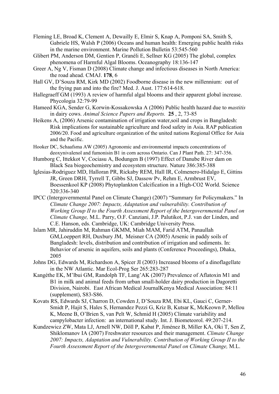Fleming LE, Broad K, Clement A, Dewailly E, Elmir S, Knap A, Pomponi SA, Smith S, Gabriele HS, Walsh P (2006) Oceans and human health: Emerging public health risks in the marine environment. Marine Pollution Bulletin 53:545-560

Glibert PM, Anderson DM, Gentien P, Granéli E, Sellner KG (2005) The global, complex phenomena of Harmful Algal Blooms. Oceanography 18:136-147

Greer A, Ng V, Fisman D (2008) Climate change and infectious diseases in North America: the road ahead. CMAJ. **178**, 6

Hall GV, D'Souza RM, Kirk MD (2002) Foodborne disease in the new millennium: out of the frying pan and into the fire? Med. J. Aust. 177:614-618.

Hallegraeff GM (1993) A review of harmful algal blooms and their apparent global increase. Phycologia 32:79-99

Hameed KGA, Sender G, Korwin-Kossakowska A (2006) Public health hazard due to *mastitis*  in dairy cows. *Animal Science Papers and Reports.* **25** , 2, 73-85

Heikens A, (2006) Arsenic contamination of irrigation water,soil and crops in Bangladesh: Risk implications for sustainable agriculture and food safety in Asia. RAP publication 2006/20. Food and agriculture organization of the united nations Regional Office for Asia and the Pacific.

Hooker DC, Schaafsma AW (2005) Agronomic and environmental impacts concentrations of deoxynivalenol and fumonisin B1 in corn across Ontario. Can J Plant Path. 27: 347-356.

- Humborg C, Ittekkot V, Cociasu A, Bodungen B (1997) Effect of Danube River dam on Black Sea biogeochemistry and ecosystem structure. Nature 386:385-388
- Iglesias-Rodriguez MD, Halloran PR, Rickaby REM, Hall IR, Colmenero-Hidalgo E, Gittins JR, Green DRH, Tyrrell T, Gibbs SJ, Dassow Pv, Rehm E, Armbrust EV, Boessenkool KP (2008) Phytoplankton Calcification in a High-CO2 World. Science 320:336-340
- IPCC (Intergovernmental Panel on Climate Change) (2007) "Summary for Policymakers." In *Climate Change 2007: Impacts, Adaptation and vulnerability. Contribution of Working Group II to the Fourth Assessment Report of the Intergovernmental Panel on Climate Change,* M.L. Parry, O.F. Canziani, J.P. Palutikot, P.J. van der Linden, and C.E. Hanson, eds. Cambridge, UK: Cambridge University Press.
- Islam MR, Jahiruddin M, Rahman GKMM, Miah MAM, Farid ATM, Panaullah GM,Loeppert RH, Duxbury JM, Meisner CA (2005) Arsenic in paddy soils of Bangladesh: levels, distribution and contribution of irrigation and sediments. In: Behavior of arsenic in aquifers, soils and plants (Conference Proceedings), Dhaka, 2005
- Johns DG, Edwards M, Richardson A, Spicer JI (2003) Increased blooms of a dinoflagellate in the NW Atlantic. Mar Ecol-Prog Ser 265:283-287
- Kangéthe EK, M'lbui GM, Randolph TF, Lang'AK (2007) Prevalence of Aflatoxin M1 and B1 in milk and animal feeds from urban small-holder dairy production in Dagoretti Division, Nairobi. East African Medical JournalKenya Medical Association: 84:11 (supplement), S83-S86.
- Kovats RS, Edwards SJ, Charron D, Cowden J, D'Souza RM, Ebi KL, Gauci C, Gerner-Smidt P, Hajit S, Hales S, Hernandez Pezzi G, Kriz B, Kutsar K, McKeown P, Mellou K, Meene B, O'Brien S, van Pelt W, Schmid H (2005) Climate variability and campylobacter infection: an international study. Int. J. Biometeorol. 49:207-214.
- Kundzewicz ZW, Mata LJ, Arnell NW, Döll P, Kabat P, Jiménez B, Miller KA, Oki T, Sen Z, Shiklomanov IA (2007) Freshwater resources and their management. *Climate Change 2007: Impacts, Adaptation and Vulnerability. Contribution of Working Group II to the Fourth Assessment Report of the Intergovernmental Panel on Climate Change,* M.L.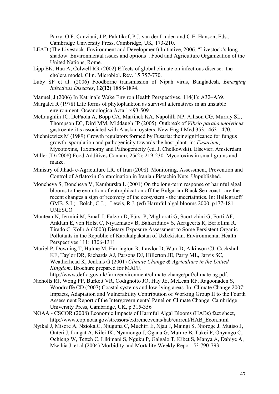Parry, O.F. Canziani, J.P. Palutikof, P.J. van der Linden and C.E. Hanson, Eds., Cambridge University Press, Cambridge, UK, 173-210.

- LEAD (The Livestock, Environment and Development) Initiative, 2006. "Livestock's long shadow: Environmental issues and options". Food and Agriculture Organization of the United Nations, Rome.
- Lipp EK, Hau A, Colwell RR (2002) Effects of global climate on infectious disease: the cholera model. Clin. Microbiol. Rev. 15:757-770.
- Luby SP et al. (2006) Foodborne transmission of Nipah virus, Bangladesh. *Emerging Infectious Diseases*, **12(12)** 1888-1894.
- Manuel, J (2006) In Katrina's Wake Environ Health Perspectives. 114(1): A32–A39.
- Margalef R (1978) Life forms of phytoplankton as survival alternatives in an unstable environment. Oceanologica Acta 1:493-509
- McLaughlin JC, DePaola A, Bopp CA, Martinek KA, Napolilli NP, Allison CG, Murray SL, Thompson EC, Dird MM, Middaugh JP (2005). Outbreak of *Vibrio parahaemolyticus*  gastroenteritis associated with Alaskan oysters. New Eng J Med 353:1463-1470.
- Michniewicz M (1989) Growth regulators formed by Fusaria: their significance for fungus growth, sporulation and pathogenicity towards the host plant. in: *Fusarium*, Mycotoxins, Taxonomy and Pathogenicity (ed. J. Chelkowski). Elsevier, Amsterdam
- Miller JD (2008) Food Additives Contam. 25(2): 219-230. Mycotoxins in small grains and maize.
- Ministry of Jihad- e-Agriculture I.R. of Iran (2008). Monitoring, Assessment, Prevention and Control of Aflatoxin Contamination in Iranian Pistachio Nuts. Unpublished.
- Moncheva S, Doncheva V, Kamburska L (2001) On the long-term response of harmful algal blooms to the evolution of eutrophication off the Bulgarian Black Sea coast: are the recent changes a sign of recovery of the ecosystem - the uncertainties. In: Hallegraeff GMB, S.I.; Bolch, C.J.; Lewis, R.J. (ed) Harmful algal blooms 2000 p177-181 UNESCO
- Muntean N, Jermini M, Small I, Falzon D, Fürst P, Migliorati G, Scortichini G, Forti AF, Anklam E, von Holst C, Niyazmatov B, Bahkridinov S, Aertgeerts R, Bertollini R, Tirado C, Kolb A (2003) Dietary Exposure Assessment to Some Persistent Organic Pollutants in the Republic of Karakalpakstan of Uzbekistan. Environmental Health Perspectives 111: 1306-1311.
- Muriel P, Downing T, Hulme M, Harrington R, Lawlor D, Wurr D, Atkinson CJ, Cockshull KE, Taylor DR, Richards AJ, Parsons DJ, Hillerton JE, Parry ML, Jarvis SC, Weatherhead K, Jenkins G (2001) *Climate Change & Agriculture in the United Kingdom*. Brochure prepared for MAFF.

http://www.defra.gov.uk/farm/environment/climate-change/pdf/climate-ag.pdf.

- Nicholls RJ, Wong PP, Burkett VR, Codignotto JO, Hay JE, McLean RF, Ragoonaden S, Woodroffe CD (2007) Coastal systems and low-lying areas. In: Climate Change 2007: Impacts, Adaptation and Vulnerability Contribution of Working Group II to the Fourth Assessment Report of the Intergovernmental Panel on Climate Change. Cambridge University Press, Cambridge, UK, p 315-356
- NOAA CSCOR (2008) Economic Impacts of Harmful Algal Blooms (HABs) fact sheet, http://www.cop.noaa.gov/stressors/extremeevents/hab/current/HAB\_Econ.html
- Nyikal J, Misore A, Nzioka,C, Njuguna C, Muchiri E, Njau J, Maingi S, Njoroge J, Mutiso J, Onteri J, Langat A, Kilei IK, Nyamongo J, Ogana G, Muture B, Tukei P, Onyango C, Ochieng W, Tetteh C, Likimani S, Nguku P, Galgalo T, Kibet S, Manya A, Dahiye A, Mwihia J. et al (2004) Morbidity and Mortality Weekly Report 53:790-793.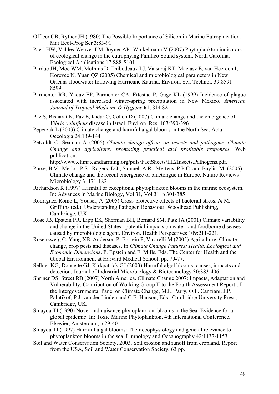- Officer CB, Ryther JH (1980) The Possible Importance of Silicon in Marine Eutrophication. Mar Ecol-Prog Ser 3:83-91
- Paerl HW, Valdes-Weaver LM, Joyner AR, Winkelmann V (2007) Phytoplankton indicators of ecological change in the eutrophying Pamlico Sound system, North Carolina. Ecological Applications 17:S88-S101
- Pardue JH, Moe WM, McInnis D, Thibodeaux LJ, Valsaraj KT, Maciasz E, van Heerden I, Korevec N, Yuan QZ (2005) Chemical and microbiological parameters in New Orleans floodwater following Hurricane Katrina. Environ. Sci. Technol. 39:8591 – 8599.
- Parmenter RR, Yadav EP, Parmenter CA, Ettestad P, Gage KL (1999) Incidence of plague associated with increased winter-spring precipitation in New Mexico. *American Journal of Tropical Medicine & Hygiene* **61**, 814 821.
- Paz S, Bisharat N, Paz E, Kidar O, Cohen D (2007) Climate change and the emergence of *Vibrio vulnificus* disease in Israel. Environ. Res. 103:390-396.
- Peperzak L (2003) Climate change and harmful algal blooms in the North Sea. Acta Oecologia 24:139-144
- Petzoldt C, Seaman A (2005) *Climate change effects on insects and pathogens. Climate Change and agriculture: promoting practical and profitable responses*. Web publication:

http://www.climateandfarming.org/pdfs/FactSheets/III.2Insects.Pathogens.pdf.

- Purse, B.V., Mellor, P.S., Rogers, D.J., Samuel, A.R., Mertens, P.P.C. and Baylis, M. (2005) Climate change and the recent emergence of bluetongue in Europe. Nature Reviews Microbiology 3, 171-182.
- Richardson K (1997) Harmful or exceptional phytoplankton blooms in the marine ecosystem. In: Advances in Marine Biology, Vol 31, Vol 31, p 301-385
- Rodriguez-Romo L, Yousef, A (2005) Cross-protective effects of bacterial stress. *In* M. Griffiths (ed.), Understanding Pathogen Behaviour. Woodhead Publishing, Cambridge, U.K.
- Rose JB, Epstein PR, Lipp EK, Sherman BH, Bernard SM, Patz JA (2001) Climate variability and change in the United States: potential impacts on water- and foodborne diseases caused by microbiologic agent. Environ. Health Perspectives 109:211-221.
- Rosenzweig C, Yang XB, Anderson P, Epstein P, Vicarelli M (2005) Agriculture: Climate change, crop pests and diseases. In *Climate Change Futures: Health, Ecological and Economic Dimensions*. P. Epstein and E. Mills, Eds. The Center for Health and the Global Environment at Harvard Medical School, pp. 70-77.
- Sellner KG, Doucette GJ, Kirkpatrick GJ (2003) Harmful algal blooms: causes, impacts and detection. Journal of Industrial Microbiology & Biotechnology 30:383-406
- Shriner DS, Street RB (2007) North America. Climate Change 2007: Impacts, Adaptation and Vulnerability. Contribution of Working Group II to the Fourth Assessment Report of the Intergovernmental Panel on Climate Change, M.L. Parry, O.F. Canziani, J.P. Palutikof, P.J. van der Linden and C.E. Hanson, Eds., Cambridge University Press, Cambridge, UK.
- Smayda TJ (1990) Novel and nuisance phytoplankton blooms in the Sea: Evidence for a global epidemic. In: Toxic Marine Phytoplankton, 4th International Conference. Elsevier, Amsterdam, p 29-40
- Smayda TJ (1997) Harmful algal blooms: Their ecophysiology and general relevance to phytoplankton blooms in the sea. Limnology and Oceanography 42:1137-1153
- Soil and Water Conservation Society, 2003. Soil erosion and runoff from cropland. Report from the USA, Soil and Water Conservation Society, 63 pp.